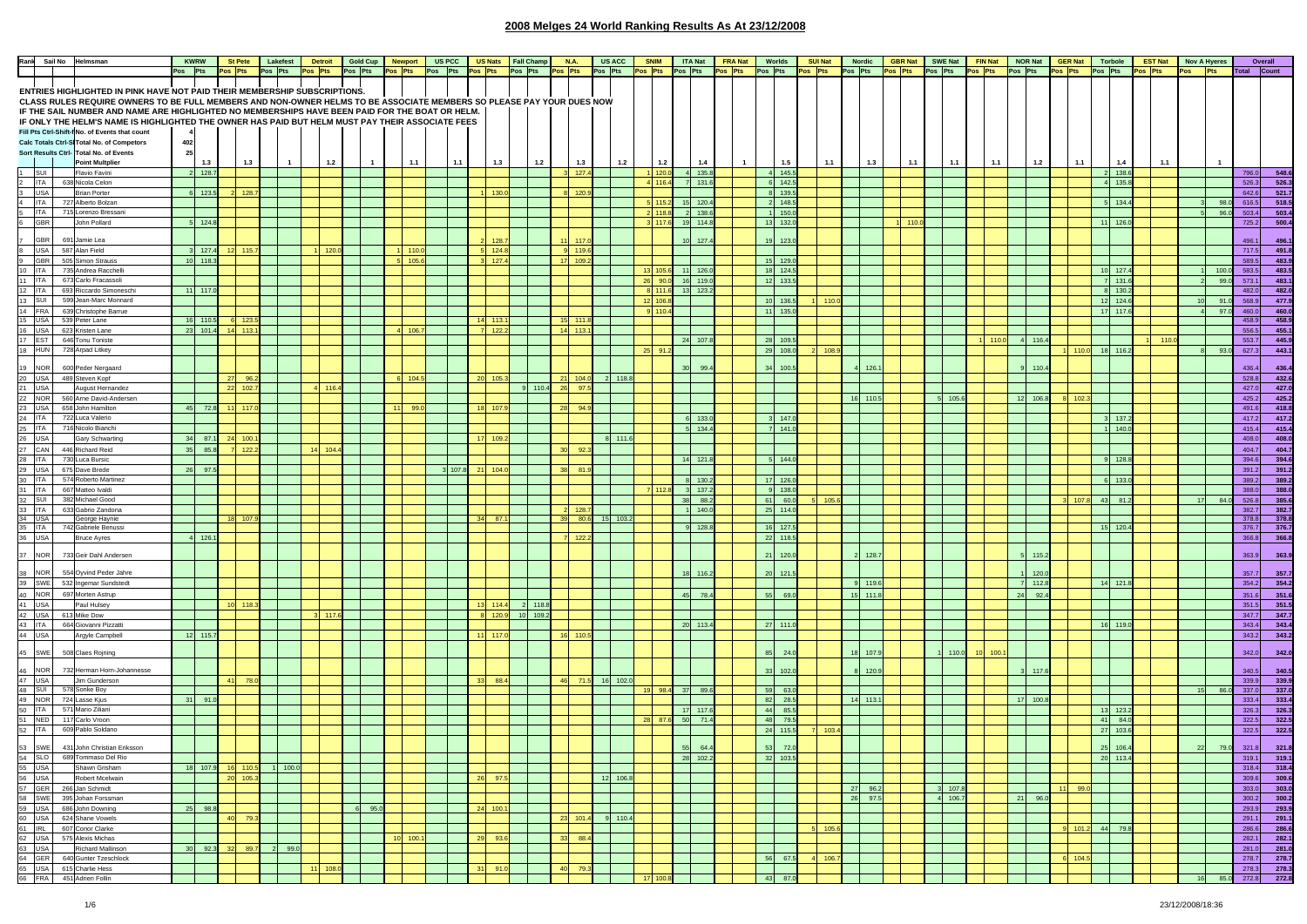|                         | Rank Sail No Helmsman |                                                                                                                       |                 | <b>KWRW</b> | <b>St Pete</b>  |                  | Lakefest | <b>Detroit</b> |       | Gold Cup | <b>Newport</b> |           | US PCC  |    | <b>US Nats</b> | <b>Fall Champ</b> |         | <b>N.A.</b>      | <b>US ACC</b> | <b>SNIM</b> | <b>ITA Nat</b>                                                                                                                                                                                                                       | <b>FRA Nat</b> | Worlds     |          | <b>SUI Nat</b> | <b>Nordic</b> |       | <b>GBR Nat</b> | <b>SWE Nat</b> | FIN Nat         |       | <b>NOR Nat</b> | <b>GER Nat</b> | Torbole                 | <b>EST Nat</b> |     | <b>Nov A Hyeres</b> |               | Overall             |  |
|-------------------------|-----------------------|-----------------------------------------------------------------------------------------------------------------------|-----------------|-------------|-----------------|------------------|----------|----------------|-------|----------|----------------|-----------|---------|----|----------------|-------------------|---------|------------------|---------------|-------------|--------------------------------------------------------------------------------------------------------------------------------------------------------------------------------------------------------------------------------------|----------------|------------|----------|----------------|---------------|-------|----------------|----------------|-----------------|-------|----------------|----------------|-------------------------|----------------|-----|---------------------|---------------|---------------------|--|
|                         |                       |                                                                                                                       | Pos Pts         |             | Pos Pts         |                  | Pos Pts  | Pos Pts        |       | Pos Pts  | Pos Pts        |           | Pos Pts |    | Pos Pts        | Pos Pts           | Pos Pts |                  | Pos Pts       | Pos Pts     | Pos Pts                                                                                                                                                                                                                              | Pos Pts        | Pos Pts    |          | Pos Pts        | Pos Pts       |       | Pos Pts        | Pos Pts        | Pos Pts         |       | Pos Pts        | Pos Pts        | Pos Pts                 | Pos Pts        | Pos | <b>Pts</b>          |               | Total Count         |  |
|                         |                       |                                                                                                                       |                 |             |                 |                  |          |                |       |          |                |           |         |    |                |                   |         |                  |               |             |                                                                                                                                                                                                                                      |                |            |          |                |               |       |                |                |                 |       |                |                |                         |                |     |                     |               |                     |  |
|                         |                       |                                                                                                                       |                 |             |                 |                  |          |                |       |          |                |           |         |    |                |                   |         |                  |               |             |                                                                                                                                                                                                                                      |                |            |          |                |               |       |                |                |                 |       |                |                |                         |                |     |                     |               |                     |  |
|                         |                       | ENTRIES HIGHLIGHTED IN PINK HAVE NOT PAID THEIR MEMBERSHIP SUBSCRIPTIONS.                                             |                 |             |                 |                  |          |                |       |          |                |           |         |    |                |                   |         |                  |               |             |                                                                                                                                                                                                                                      |                |            |          |                |               |       |                |                |                 |       |                |                |                         |                |     |                     |               |                     |  |
|                         |                       | CLASS RULES REQUIRE OWNERS TO BE FULL MEMBERS AND NON-OWNER HELMS TO BE ASSOCIATE MEMBERS SO PLEASE PAY YOUR DUES NOW |                 |             |                 |                  |          |                |       |          |                |           |         |    |                |                   |         |                  |               |             |                                                                                                                                                                                                                                      |                |            |          |                |               |       |                |                |                 |       |                |                |                         |                |     |                     |               |                     |  |
|                         |                       | IF THE SAIL NUMBER AND NAME ARE HIGHLIGHTED NO MEMBERSHIPS HAVE BEEN PAID FOR THE BOAT OR HELM. I                     |                 |             |                 |                  |          |                |       |          |                |           |         |    |                |                   |         |                  |               |             |                                                                                                                                                                                                                                      |                |            |          |                |               |       |                |                |                 |       |                |                |                         |                |     |                     |               |                     |  |
|                         |                       |                                                                                                                       |                 |             |                 |                  |          |                |       |          |                |           |         |    |                |                   |         |                  |               |             |                                                                                                                                                                                                                                      |                |            |          |                |               |       |                |                |                 |       |                |                |                         |                |     |                     |               |                     |  |
|                         |                       | IF ONLY THE HELM'S NAME IS HIGHLIGHTED THE OWNER HAS PAID BUT HELM MUST PAY THEIR ASSOCIATE FEES                      |                 |             |                 |                  |          |                |       |          |                |           |         |    |                |                   |         |                  |               |             |                                                                                                                                                                                                                                      |                |            |          |                |               |       |                |                |                 |       |                |                |                         |                |     |                     |               |                     |  |
|                         |                       | Fill Pts Ctrl-Shift-f No. of Events that count                                                                        |                 |             |                 |                  |          |                |       |          |                |           |         |    |                |                   |         |                  |               |             |                                                                                                                                                                                                                                      |                |            |          |                |               |       |                |                |                 |       |                |                |                         |                |     |                     |               |                     |  |
|                         |                       | Calc Totals Ctrl-SITotal No. of Competors                                                                             | 402             |             |                 |                  |          |                |       |          |                |           |         |    |                |                   |         |                  |               |             |                                                                                                                                                                                                                                      |                |            |          |                |               |       |                |                |                 |       |                |                |                         |                |     |                     |               |                     |  |
|                         |                       |                                                                                                                       |                 |             |                 |                  |          |                |       |          |                |           |         |    |                |                   |         |                  |               |             |                                                                                                                                                                                                                                      |                |            |          |                |               |       |                |                |                 |       |                |                |                         |                |     |                     |               |                     |  |
|                         |                       | Sort Results Ctrl- Total No. of Events                                                                                | 25              |             |                 |                  |          |                |       |          |                |           |         |    |                |                   |         |                  |               |             |                                                                                                                                                                                                                                      |                |            |          |                |               |       |                |                |                 |       |                |                |                         |                |     |                     |               |                     |  |
|                         |                       | <b>Point Multplier</b>                                                                                                |                 | 1.3         |                 | 1.3              |          |                | 1.2   |          |                | 1.1       | 1.1     |    | 1.3            | 1.2               |         | 1.3              | 1.2           | 1.2         | 1.4                                                                                                                                                                                                                                  |                |            | 1.5      | 1.1            |               | 1.3   | 1.1            | 1.1            |                 | 1.1   | 1.2            | 1.1            | 1.4                     | 1.1            |     |                     |               |                     |  |
| 1                       | SUI                   | Flavio Favini                                                                                                         |                 | 2 128.7     |                 |                  |          |                |       |          |                |           |         |    |                |                   |         | 3 127.4          |               | 11120.0     | 4 135.8                                                                                                                                                                                                                              |                |            | 4 145.5  |                |               |       |                |                |                 |       |                |                | 2 138.6                 |                |     |                     |               | 796.0 548.6         |  |
| $\overline{a}$          | ITA                   | 638 Nicola Celon                                                                                                      |                 |             |                 |                  |          |                |       |          |                |           |         |    |                |                   |         |                  |               | 4 116.      | 131.                                                                                                                                                                                                                                 |                |            | 142.5    |                |               |       |                |                |                 |       |                |                | 135.                    |                |     |                     | 526.3         |                     |  |
|                         |                       |                                                                                                                       |                 |             |                 |                  |          |                |       |          |                |           |         |    |                |                   |         |                  |               |             |                                                                                                                                                                                                                                      |                |            |          |                |               |       |                |                |                 |       |                |                |                         |                |     |                     |               | 526.3               |  |
| $\overline{\mathbf{3}}$ | <b>USA</b>            | <b>Brian Porter</b>                                                                                                   |                 | 6 123.5     |                 | 128              |          |                |       |          |                |           |         |    | 130.           |                   |         | 8 120.9          |               |             |                                                                                                                                                                                                                                      |                |            | 139.5    |                |               |       |                |                |                 |       |                |                |                         |                |     |                     | 642.6         | 521.7               |  |
| $\overline{4}$          |                       | ITA 727 Alberto Bolzan                                                                                                |                 |             |                 |                  |          |                |       |          |                |           |         |    |                |                   |         |                  |               | $5 - 115.$  | 15 120.4                                                                                                                                                                                                                             |                |            | 148.5    |                |               |       |                |                |                 |       |                |                | $5 - 134.$              |                |     | 98.                 | 616.5         | 518.5               |  |
|                         |                       | 5 ITA 715 Lorenzo Bressani                                                                                            |                 |             |                 |                  |          |                |       |          |                |           |         |    |                |                   |         |                  |               | 2 118       | 138.6                                                                                                                                                                                                                                |                |            | 150.0    |                |               |       |                |                |                 |       |                |                |                         |                |     |                     | 96.0<br>503.4 | 503.4               |  |
|                         |                       |                                                                                                                       |                 |             |                 |                  |          |                |       |          |                |           |         |    |                |                   |         |                  |               |             |                                                                                                                                                                                                                                      |                |            |          |                |               |       |                |                |                 |       |                |                |                         |                |     |                     |               |                     |  |
| $6\degree$              | <b>GBR</b>            | John Pollard                                                                                                          |                 | 124.8       |                 |                  |          |                |       |          |                |           |         |    |                |                   |         |                  |               | 3 117.      | 114.8<br>19                                                                                                                                                                                                                          |                |            | 13 132.0 |                |               |       | 110            |                |                 |       |                |                | 126.<br>11              |                |     |                     | 725.2         | 500.4               |  |
|                         |                       |                                                                                                                       |                 |             |                 |                  |          |                |       |          |                |           |         |    |                |                   |         |                  |               |             |                                                                                                                                                                                                                                      |                |            |          |                |               |       |                |                |                 |       |                |                |                         |                |     |                     |               |                     |  |
| $\overline{7}$          | GBR <sup>I</sup>      | 691 Jamie Lea                                                                                                         |                 |             |                 |                  |          |                |       |          |                |           |         |    | 128            |                   |         |                  |               |             | 127.4                                                                                                                                                                                                                                |                |            | 123.0    |                |               |       |                |                |                 |       |                |                |                         |                |     |                     | 496.1         | 496.1               |  |
| $^{\circ}$              | USA 587 Alan Field    |                                                                                                                       |                 | 127.4       | 12              | 115.7            |          |                | 120.0 |          |                | 11110     |         |    | 124.8          |                   |         | 9 119.6          |               |             |                                                                                                                                                                                                                                      |                |            |          |                |               |       |                |                |                 |       |                |                |                         |                |     |                     | 717.5         | 491.8               |  |
|                         |                       |                                                                                                                       |                 |             |                 |                  |          |                |       |          |                |           |         |    |                |                   |         |                  |               |             |                                                                                                                                                                                                                                      |                |            |          |                |               |       |                |                |                 |       |                |                |                         |                |     |                     |               |                     |  |
| 9                       | <b>GBR</b>            | 505 Simon Strauss                                                                                                     |                 | 10 118.3    |                 |                  |          |                |       |          |                | 5 105.    |         |    | 127.           |                   |         | 17 109.2         |               |             |                                                                                                                                                                                                                                      |                | 15 129.0   |          |                |               |       |                |                |                 |       |                |                |                         |                |     |                     | 589.5         | 483.9               |  |
| 10                      | ITA                   | 735 Andrea Racchelli                                                                                                  |                 |             |                 |                  |          |                |       |          |                |           |         |    |                |                   |         |                  |               | 13 105.6    | $11$ 126.                                                                                                                                                                                                                            |                | 18 124.5   |          |                |               |       |                |                |                 |       |                |                | 10 127.                 |                |     | 100.                | 583.5         | 483.5               |  |
| 11 ITA                  |                       | 673 Carlo Fracassoli                                                                                                  |                 |             |                 |                  |          |                |       |          |                |           |         |    |                |                   |         |                  |               |             | 26 90.0 16 119.0                                                                                                                                                                                                                     |                | 12 133.5   |          |                |               |       |                |                |                 |       |                |                | 7 131.6                 |                |     | 99(                 | 573.1         | 483.1               |  |
|                         | ITA                   | 693 Riccardo Simoneschi                                                                                               |                 | $11$ 117.0  |                 |                  |          |                |       |          |                |           |         |    |                |                   |         |                  |               | 8 111.      | 13 123.                                                                                                                                                                                                                              |                |            |          |                |               |       |                |                |                 |       |                |                | 130                     |                |     |                     | 482.0         | 482.0               |  |
| 12                      |                       |                                                                                                                       |                 |             |                 |                  |          |                |       |          |                |           |         |    |                |                   |         |                  |               |             |                                                                                                                                                                                                                                      |                |            |          |                |               |       |                |                |                 |       |                |                |                         |                |     |                     |               |                     |  |
| 13 SUIT                 |                       | 599 Jean-Marc Monnard                                                                                                 |                 |             |                 |                  |          |                |       |          |                |           |         |    |                |                   |         |                  |               | 12 106.     |                                                                                                                                                                                                                                      |                |            | 10 136.5 | 110.           |               |       |                |                |                 |       |                |                | 124.<br>12 <sup>1</sup> |                |     | 91.                 | 568.9         | 477.9               |  |
|                         |                       | 14 FRA 639 Christophe Barrue<br>15 USA 539 Peter Lane                                                                 |                 |             |                 |                  |          |                |       |          |                |           |         |    |                |                   |         |                  |               | $9 - 110.$  |                                                                                                                                                                                                                                      |                | 11 135.0   |          |                |               |       |                |                |                 |       |                |                | 17 117.6                |                |     |                     | 97.0<br>460.0 | 460.0               |  |
|                         |                       |                                                                                                                       |                 | 16 110.5    |                 | $-123.5$         |          |                |       |          |                |           |         |    | 14 113         |                   |         | 15 111           |               |             |                                                                                                                                                                                                                                      |                |            |          |                |               |       |                |                |                 |       |                |                |                         |                |     |                     |               | 458.9 458.9         |  |
|                         |                       | 16 USA 623 Kristen Lane                                                                                               |                 | 23 101.4    | $14 - 113$      |                  |          |                |       |          |                | 4 106.    |         |    | 122.           |                   |         | 14 113           |               |             |                                                                                                                                                                                                                                      |                |            |          |                |               |       |                |                |                 |       |                |                |                         |                |     |                     | 556.5         | 455.1               |  |
|                         |                       |                                                                                                                       |                 |             |                 |                  |          |                |       |          |                |           |         |    |                |                   |         |                  |               |             |                                                                                                                                                                                                                                      |                |            |          |                |               |       |                |                |                 |       |                |                |                         |                |     |                     |               |                     |  |
|                         |                       | 17 EST 646 Tonu Toniste                                                                                               |                 |             |                 |                  |          |                |       |          |                |           |         |    |                |                   |         |                  |               |             | 24<br>107.                                                                                                                                                                                                                           |                | 28 109.5   |          |                |               |       |                |                |                 |       | 4 116          |                |                         |                |     |                     | 553.7         | 445.9               |  |
|                         |                       | 18 HUN 728 Arpad Litkey                                                                                               |                 |             |                 |                  |          |                |       |          |                |           |         |    |                |                   |         |                  |               | 25 91.2     |                                                                                                                                                                                                                                      |                | 29 108.0   |          | 108            |               |       |                |                |                 |       |                | 1100           | 18 116.2                |                |     | 93.                 | 627.3         | 443.1               |  |
|                         |                       |                                                                                                                       |                 |             |                 |                  |          |                |       |          |                |           |         |    |                |                   |         |                  |               |             |                                                                                                                                                                                                                                      |                |            |          |                |               |       |                |                |                 |       |                |                |                         |                |     |                     |               |                     |  |
| 19 NOR                  |                       | 600 Peder Nergaard                                                                                                    |                 |             |                 |                  |          |                |       |          |                |           |         |    |                |                   |         |                  |               |             |                                                                                                                                                                                                                                      |                |            | 100.5    |                |               | 126   |                |                |                 |       | 110            |                |                         |                |     |                     | 436.4         | 436.4               |  |
|                         |                       |                                                                                                                       |                 |             | 27              |                  |          |                |       |          |                | 6 104.    |         |    | 20 105         |                   |         | $21 \quad 104.0$ | 2 118.8       |             |                                                                                                                                                                                                                                      |                |            |          |                |               |       |                |                |                 |       |                |                |                         |                |     |                     |               |                     |  |
|                         |                       | 20 USA 489 Steven Kopf<br>21 USA August Herna                                                                         |                 |             |                 | 96.3             |          |                |       |          |                |           |         |    |                |                   |         |                  |               |             |                                                                                                                                                                                                                                      |                |            |          |                |               |       |                |                |                 |       |                |                |                         |                |     |                     | 528.8         | 432.6               |  |
|                         |                       | August Hernandez                                                                                                      |                 |             | $22 \t 102.7$   |                  |          | 4 116.4        |       |          |                |           |         |    |                | 110.4             |         | 26 97.5          |               |             |                                                                                                                                                                                                                                      |                |            |          |                |               |       |                |                |                 |       |                |                |                         |                |     |                     | 427.0         | 427.0               |  |
|                         |                       | 22 NOR 560 Arne David-Andersen                                                                                        |                 |             |                 |                  |          |                |       |          |                |           |         |    |                |                   |         |                  |               |             |                                                                                                                                                                                                                                      |                |            |          |                | 16 110        |       |                | 5 105.6        |                 |       | 12 106.8       |                |                         |                |     |                     | 425.2         | 425.2               |  |
|                         |                       | 23 USA 658 John Hamilton                                                                                              |                 | 45 72.8     | 11 117.0        |                  |          |                |       |          | 11             | 99.       |         |    | 18 107         |                   | 28      | 94.9             |               |             |                                                                                                                                                                                                                                      |                |            |          |                |               |       |                |                |                 |       |                |                |                         |                |     |                     | 491.6         | 418.8               |  |
|                         |                       |                                                                                                                       |                 |             |                 |                  |          |                |       |          |                |           |         |    |                |                   |         |                  |               |             |                                                                                                                                                                                                                                      |                |            |          |                |               |       |                |                |                 |       |                |                |                         |                |     |                     |               |                     |  |
|                         |                       | 24 ITA 722 Luca Valerio                                                                                               |                 |             |                 |                  |          |                |       |          |                |           |         |    |                |                   |         |                  |               |             | 133.                                                                                                                                                                                                                                 |                |            | 147.     |                |               |       |                |                |                 |       |                |                | 137.                    |                |     |                     | 417.2         | 417.2               |  |
|                         |                       | 25 ITA 716 Nicolo Bianchi                                                                                             |                 |             |                 |                  |          |                |       |          |                |           |         |    |                |                   |         |                  |               |             | 5 134.4                                                                                                                                                                                                                              |                |            | 7 141.0  |                |               |       |                |                |                 |       |                |                | 140.0                   |                |     |                     | 415.4         | 415.4               |  |
| 26                      | <b>USA</b>            | Gary Schwarting                                                                                                       |                 | 34 87.1     | 24              | 100              |          |                |       |          |                |           |         |    | 17 109         |                   |         |                  | 8 111.6       |             |                                                                                                                                                                                                                                      |                |            |          |                |               |       |                |                |                 |       |                |                |                         |                |     |                     | 408.0         | 408.0               |  |
|                         |                       |                                                                                                                       |                 |             |                 |                  |          |                |       |          |                |           |         |    |                |                   |         |                  |               |             |                                                                                                                                                                                                                                      |                |            |          |                |               |       |                |                |                 |       |                |                |                         |                |     |                     |               |                     |  |
| 27                      | CAN                   | 446 Richard Reid                                                                                                      | 35 <sup>°</sup> | 85.8        |                 | 122.             |          | 14             | 104   |          |                |           |         |    |                |                   |         | 92.3             |               |             |                                                                                                                                                                                                                                      |                |            |          |                |               |       |                |                |                 |       |                |                |                         |                |     |                     | 404.7         | 404.7               |  |
|                         |                       | 28 ITA 730 Luca Bursic                                                                                                |                 |             |                 |                  |          |                |       |          |                |           |         |    |                |                   |         |                  |               |             | $14$ 121                                                                                                                                                                                                                             |                |            | 144.0    |                |               |       |                |                |                 |       |                |                | 128.                    |                |     |                     | 394.6         | 394.6               |  |
|                         |                       | 29 USA 675 Dave Brede                                                                                                 |                 | 26 97.5     |                 |                  |          |                |       |          |                |           | 3 107.  |    | 104.           |                   |         | 38 81.9          |               |             |                                                                                                                                                                                                                                      |                |            |          |                |               |       |                |                |                 |       |                |                |                         |                |     |                     | 391.2         | 391.2               |  |
|                         |                       |                                                                                                                       |                 |             |                 |                  |          |                |       |          |                |           |         |    |                |                   |         |                  |               |             |                                                                                                                                                                                                                                      |                |            |          |                |               |       |                |                |                 |       |                |                |                         |                |     |                     |               |                     |  |
| 30 ITA                  |                       | 574 Roberto Martinez                                                                                                  |                 |             |                 |                  |          |                |       |          |                |           |         |    |                |                   |         |                  |               |             | 130.                                                                                                                                                                                                                                 |                | 17 126.0   |          |                |               |       |                |                |                 |       |                |                | 133                     |                |     |                     | 389.2         | 389.2               |  |
|                         |                       | 31 ITA 667 Matteo Ivaldi                                                                                              |                 |             |                 |                  |          |                |       |          |                |           |         |    |                |                   |         |                  |               | 7112        | 137.                                                                                                                                                                                                                                 |                | $\alpha$   | 138.0    |                |               |       |                |                |                 |       |                |                |                         |                |     |                     | 388.0         | 388.0               |  |
|                         |                       | 32 SUI 382 Michael Good                                                                                               |                 |             |                 |                  |          |                |       |          |                |           |         |    |                |                   |         |                  |               |             | 38 <sup>1</sup><br>88.                                                                                                                                                                                                               |                | 61         | 60.0     | 105.           |               |       |                |                |                 |       |                |                | 43<br>81.               |                |     | 84.                 | 526.8         | 385.6               |  |
|                         |                       | 33 ITA 633 Gabrio Zandona                                                                                             |                 |             |                 |                  |          |                |       |          |                |           |         |    |                |                   |         |                  |               |             |                                                                                                                                                                                                                                      |                |            |          |                |               |       |                |                |                 |       |                |                |                         |                |     |                     |               |                     |  |
|                         |                       |                                                                                                                       |                 |             |                 |                  |          |                |       |          |                |           |         |    |                |                   |         | 128              |               |             | 140.0                                                                                                                                                                                                                                |                | 25 114.0   |          |                |               |       |                |                |                 |       |                |                |                         |                |     |                     | 382.7         | 382.7               |  |
|                         |                       | 34 USA George Haynie<br>35 ITA 742 Gabriele Benussi                                                                   |                 |             | -18             |                  |          |                |       |          |                |           |         |    | 87             |                   |         | 39 80.6          | 15 103.2      |             |                                                                                                                                                                                                                                      |                |            |          |                |               |       |                |                |                 |       |                |                |                         |                |     |                     | 378.8         | 378.8               |  |
|                         |                       |                                                                                                                       |                 |             |                 |                  |          |                |       |          |                |           |         |    |                |                   |         |                  |               |             | 128.8                                                                                                                                                                                                                                |                | 16 127.5   |          |                |               |       |                |                |                 |       |                |                | 15 120.                 |                |     |                     | 376.7         | 376.7               |  |
| 36 USA                  |                       | <b>Bruce Ayres</b>                                                                                                    |                 | 4 126.1     |                 |                  |          |                |       |          |                |           |         |    |                |                   |         | 122.3            |               |             |                                                                                                                                                                                                                                      |                | 22 118.5   |          |                |               |       |                |                |                 |       |                |                |                         |                |     |                     | 366.8         | 366.8               |  |
|                         |                       |                                                                                                                       |                 |             |                 |                  |          |                |       |          |                |           |         |    |                |                   |         |                  |               |             |                                                                                                                                                                                                                                      |                |            |          |                |               |       |                |                |                 |       |                |                |                         |                |     |                     |               |                     |  |
| 37 NOR                  |                       | 733 Geir Dahl Andersen                                                                                                |                 |             |                 |                  |          |                |       |          |                |           |         |    |                |                   |         |                  |               |             |                                                                                                                                                                                                                                      |                |            | 120.     |                |               | 128.7 |                |                |                 |       | 115            |                |                         |                |     |                     | 363.9         | 363.9               |  |
|                         |                       |                                                                                                                       |                 |             |                 |                  |          |                |       |          |                |           |         |    |                |                   |         |                  |               |             |                                                                                                                                                                                                                                      |                |            |          |                |               |       |                |                |                 |       |                |                |                         |                |     |                     |               |                     |  |
|                         |                       |                                                                                                                       |                 |             |                 |                  |          |                |       |          |                |           |         |    |                |                   |         |                  |               |             |                                                                                                                                                                                                                                      |                |            |          |                |               |       |                |                |                 |       |                |                |                         |                |     |                     |               |                     |  |
| 38 NOR                  |                       | 554 Oyvind Peder Jahre                                                                                                |                 |             |                 |                  |          |                |       |          |                |           |         |    |                |                   |         |                  |               |             | 116                                                                                                                                                                                                                                  |                | 20         | 121.     |                |               |       |                |                |                 |       | 120.           |                |                         |                |     |                     | 357.7         | 357.7               |  |
|                         |                       | 39 SWE 532 Ingemar Sundstedt                                                                                          |                 |             |                 |                  |          |                |       |          |                |           |         |    |                |                   |         |                  |               |             |                                                                                                                                                                                                                                      |                |            |          |                | $9 - 119.6$   |       |                |                |                 |       | $7 - 112.8$    |                | 14 121.8                |                |     |                     | 354.2         | 354.2               |  |
|                         |                       | 40 NOR 697 Morten Astrup                                                                                              |                 |             |                 |                  |          |                |       |          |                |           |         |    |                |                   |         |                  |               |             | 45<br>78.4                                                                                                                                                                                                                           |                | 55         | 69.0     |                | $15 - 111.8$  |       |                |                |                 |       | 24 92.4        |                |                         |                |     |                     | 351.6         | 351.6               |  |
|                         |                       |                                                                                                                       |                 |             |                 |                  |          |                |       |          |                |           |         |    |                |                   |         |                  |               |             |                                                                                                                                                                                                                                      |                |            |          |                |               |       |                |                |                 |       |                |                |                         |                |     |                     |               |                     |  |
|                         | 41 USA                | Paul Hulsey                                                                                                           |                 |             | 10 <sup>1</sup> | 118.3            |          |                |       |          |                |           |         |    | $13 - 114.$    | 118.8             |         |                  |               |             |                                                                                                                                                                                                                                      |                |            |          |                |               |       |                |                |                 |       |                |                |                         |                |     |                     |               | 351.5 351.5         |  |
| 42 USA                  |                       | 613 Mike Dow                                                                                                          |                 |             |                 |                  |          |                |       |          |                |           |         |    | 8 120          | 109.2             |         |                  |               |             |                                                                                                                                                                                                                                      |                |            |          |                |               |       |                |                |                 |       |                |                |                         |                |     |                     | 347.7         | 347.7               |  |
|                         |                       | 43 ITA 664 Giovanni Pizzatti                                                                                          |                 |             |                 |                  |          |                |       |          |                |           |         |    |                |                   |         |                  |               |             | 20 113.4                                                                                                                                                                                                                             |                | $27 - 111$ |          |                |               |       |                |                |                 |       |                |                | 16 119.                 |                |     |                     |               | 343.4 343.4         |  |
| 44 USA                  |                       |                                                                                                                       |                 | 12 115.7    |                 |                  |          |                |       |          |                |           |         |    |                |                   |         | 16 110           |               |             |                                                                                                                                                                                                                                      |                |            |          |                |               |       |                |                |                 |       |                |                |                         |                |     |                     | 343.2         | 343.2               |  |
|                         |                       | Argyle Campbell                                                                                                       |                 |             |                 |                  |          |                |       |          |                |           |         |    | 117.           |                   |         |                  |               |             |                                                                                                                                                                                                                                      |                |            |          |                |               |       |                |                |                 |       |                |                |                         |                |     |                     |               |                     |  |
|                         |                       |                                                                                                                       |                 |             |                 |                  |          |                |       |          |                |           |         |    |                |                   |         |                  |               |             |                                                                                                                                                                                                                                      |                |            |          |                |               |       |                |                |                 |       |                |                |                         |                |     |                     |               |                     |  |
| 45 SWE                  |                       | 508 Claes Rojning                                                                                                     |                 |             |                 |                  |          |                |       |          |                |           |         |    |                |                   |         |                  |               |             |                                                                                                                                                                                                                                      |                | 85         | 24.1     |                | 18 107.9      |       |                | 110.0          | 10 <sup>1</sup> | 100.1 |                |                |                         |                |     |                     | 342.0         | 342.0               |  |
|                         |                       |                                                                                                                       |                 |             |                 |                  |          |                |       |          |                |           |         |    |                |                   |         |                  |               |             |                                                                                                                                                                                                                                      |                |            |          |                |               |       |                |                |                 |       |                |                |                         |                |     |                     |               |                     |  |
| 46                      | <b>NOR</b>            | 732 Herman Horn-Johannesse                                                                                            |                 |             |                 |                  |          |                |       |          |                |           |         |    |                |                   |         |                  |               |             |                                                                                                                                                                                                                                      |                |            | 102.0    |                |               | 120.9 |                |                |                 |       | 117            |                |                         |                |     |                     | 340.5         | 340.5               |  |
| 47 USA                  |                       | <b>Uim Gunderson</b>                                                                                                  |                 |             | 41              | 780              |          |                |       |          |                |           |         | 33 | 88.            |                   |         | 46 71.5          | 16 102.0      |             |                                                                                                                                                                                                                                      |                |            |          |                |               |       |                |                |                 |       |                |                |                         |                |     |                     | 339.9         | 339.9               |  |
|                         | 48 SUI 578 Sonke Boy  |                                                                                                                       |                 |             |                 |                  |          |                |       |          |                |           |         |    |                |                   |         |                  |               | 19 98.4 37  | 89.6                                                                                                                                                                                                                                 |                | 59         | 63.0     |                |               |       |                |                |                 |       |                |                |                         |                |     | 86.1                | 337.0         | 337.0               |  |
|                         |                       |                                                                                                                       |                 |             |                 |                  |          |                |       |          |                |           |         |    |                |                   |         |                  |               |             |                                                                                                                                                                                                                                      |                |            |          |                |               |       |                |                |                 |       |                |                |                         |                |     |                     |               |                     |  |
| 49 NOR                  |                       | 724 Lasse Kjus                                                                                                        |                 | 31 91.0     |                 |                  |          |                |       |          |                |           |         |    |                |                   |         |                  |               |             |                                                                                                                                                                                                                                      |                | 82         | 28.5     |                | $14$ 113.     |       |                |                |                 |       | 17 100.8       |                |                         |                |     |                     | 333.4         | 333.4               |  |
| 50 ITA                  |                       | 571 Mario Ziliani                                                                                                     |                 |             |                 |                  |          |                |       |          |                |           |         |    |                |                   |         |                  |               |             | 117.6                                                                                                                                                                                                                                |                | 44         | 85.5     |                |               |       |                |                |                 |       |                |                | 13<br>123.              |                |     |                     | 326.3         | 326.3               |  |
|                         |                       | 51 NED 117 Carlo Vroon                                                                                                |                 |             |                 |                  |          |                |       |          |                |           |         |    |                |                   |         |                  |               | 28 87.6 50  | 71.                                                                                                                                                                                                                                  |                | 48         | 79.5     |                |               |       |                |                |                 |       |                |                | 41 84.0                 |                |     |                     |               | 322.5 322.5         |  |
|                         |                       | 52 ITA 609 Pablo Soldano                                                                                              |                 |             |                 |                  |          |                |       |          |                |           |         |    |                |                   |         |                  |               |             |                                                                                                                                                                                                                                      |                |            |          |                |               |       |                |                |                 |       |                |                |                         |                |     |                     |               |                     |  |
|                         |                       |                                                                                                                       |                 |             |                 |                  |          |                |       |          |                |           |         |    |                |                   |         |                  |               |             |                                                                                                                                                                                                                                      |                |            | 24 115.5 | 103.4          |               |       |                |                |                 |       |                |                | 103.6<br>27             |                |     |                     |               | 322.5 322.5         |  |
|                         |                       |                                                                                                                       |                 |             |                 |                  |          |                |       |          |                |           |         |    |                |                   |         |                  |               |             |                                                                                                                                                                                                                                      |                |            |          |                |               |       |                |                |                 |       |                |                |                         |                |     |                     |               |                     |  |
|                         |                       | 53 SWE 431 John Christian Eriksson                                                                                    |                 |             |                 |                  |          |                |       |          |                |           |         |    |                |                   |         |                  |               |             | 64                                                                                                                                                                                                                                   |                | 53         | 72.0     |                |               |       |                |                |                 |       |                |                | 106.4<br>25             |                |     | 22                  | 321.8<br>79.0 | 321.8               |  |
|                         |                       | 54 SLO 689 Tommaso Del Rio                                                                                            |                 |             |                 |                  |          |                |       |          |                |           |         |    |                |                   |         |                  |               |             | 28 102.2                                                                                                                                                                                                                             |                | 32 103.5   |          |                |               |       |                |                |                 |       |                |                | 20 113.4                |                |     |                     |               | 319.1 319.1         |  |
|                         |                       |                                                                                                                       |                 |             |                 |                  |          |                |       |          |                |           |         |    |                |                   |         |                  |               |             |                                                                                                                                                                                                                                      |                |            |          |                |               |       |                |                |                 |       |                |                |                         |                |     |                     |               |                     |  |
|                         |                       | 55 USA Shawn Grisham                                                                                                  |                 | 18 107.9    |                 | 16 110.5 1 100.0 |          |                |       |          |                |           |         |    |                |                   |         |                  |               |             |                                                                                                                                                                                                                                      |                |            |          |                |               |       |                |                |                 |       |                |                |                         |                |     |                     |               | 318.4 318.4         |  |
|                         |                       |                                                                                                                       |                 |             | 20 105.3        |                  |          |                |       |          |                |           |         |    | 26 97.5        |                   |         |                  | 12 106.8      |             |                                                                                                                                                                                                                                      |                |            |          |                |               |       |                |                |                 |       |                |                |                         |                |     |                     |               | 309.6 309.6         |  |
|                         |                       | 56 USA Robert Mcelwain<br>57 GER 266 Jan Schmidt                                                                      |                 |             |                 |                  |          |                |       |          |                |           |         |    |                |                   |         |                  |               |             |                                                                                                                                                                                                                                      |                |            |          |                | 27 96.2       |       |                | 3 107.8        |                 |       |                | 11 99.0        |                         |                |     |                     |               | 303.0 303.0         |  |
|                         |                       | 58 SWE 395 Johan Forssman                                                                                             |                 |             |                 |                  |          |                |       |          |                |           |         |    |                |                   |         |                  |               |             |                                                                                                                                                                                                                                      |                |            |          |                | 26 97.5       |       |                | 4 106.7        |                 |       | 21 96.0        |                |                         |                |     |                     |               | 300.2 300.2         |  |
|                         |                       |                                                                                                                       |                 |             |                 |                  |          |                |       |          |                |           |         |    |                |                   |         |                  |               |             |                                                                                                                                                                                                                                      |                |            |          |                |               |       |                |                |                 |       |                |                |                         |                |     |                     |               |                     |  |
|                         |                       | 59 USA 686 John Downing                                                                                               |                 | 25 98.8     |                 |                  |          |                |       | 95.0     |                |           |         |    | 24 100.        |                   |         |                  |               |             |                                                                                                                                                                                                                                      |                |            |          |                |               |       |                |                |                 |       |                |                |                         |                |     |                     |               | 293.9 293.9         |  |
|                         |                       | 60 USA 624 Shane Vowels                                                                                               |                 |             | 40 79.3         |                  |          |                |       |          |                |           |         |    |                |                   |         | 23 101.4         | 9 110.4       |             |                                                                                                                                                                                                                                      |                |            |          |                |               |       |                |                |                 |       |                |                |                         |                |     |                     |               | 291.1 291.1         |  |
|                         |                       | 61 IRL 607 Conor Clarke                                                                                               |                 |             |                 |                  |          |                |       |          |                |           |         |    |                |                   |         |                  |               |             |                                                                                                                                                                                                                                      |                |            |          | 105.6          |               |       |                |                |                 |       |                |                | 9 101.2 44 79.8         |                |     |                     |               | 286.6 286.6         |  |
|                         |                       |                                                                                                                       |                 |             |                 |                  |          |                |       |          |                |           |         |    |                |                   |         |                  |               |             |                                                                                                                                                                                                                                      |                |            |          |                |               |       |                |                |                 |       |                |                |                         |                |     |                     |               |                     |  |
|                         |                       | 62 USA 575 Alexis Michas                                                                                              |                 |             |                 |                  |          |                |       |          |                | $10$ 100. |         |    | 29 93.6        |                   |         | 33 88.4          |               |             |                                                                                                                                                                                                                                      |                |            |          |                |               |       |                |                |                 |       |                |                |                         |                |     |                     |               | 282.1 282.1         |  |
|                         |                       | 63 USA Richard Mallinson                                                                                              |                 | $30$ 92.3   | 32 89.7         |                  | 2 99.0   |                |       |          |                |           |         |    |                |                   |         |                  |               |             |                                                                                                                                                                                                                                      |                |            |          |                |               |       |                |                |                 |       |                |                |                         |                |     |                     |               | 281.0 281.0         |  |
|                         |                       | 64 GER 640 Gunter Tzeschlock                                                                                          |                 |             |                 |                  |          |                |       |          |                |           |         |    |                |                   |         |                  |               |             |                                                                                                                                                                                                                                      |                |            | 56 67.5  | 106.7          |               |       |                |                |                 |       |                | 6 104.5        |                         |                |     |                     |               | 278.7 278.7         |  |
|                         |                       |                                                                                                                       |                 |             |                 |                  |          |                |       |          |                |           |         |    | 91.0           |                   |         |                  |               |             |                                                                                                                                                                                                                                      |                |            |          |                |               |       |                |                |                 |       |                |                |                         |                |     |                     |               |                     |  |
|                         |                       | 65 USA 615 Charlie Hess                                                                                               |                 |             |                 |                  |          | 11             | 108.0 |          |                |           |         | 31 |                |                   |         | 40 79.3          |               |             |                                                                                                                                                                                                                                      |                |            |          |                |               |       |                |                |                 |       |                |                |                         |                |     |                     |               | 278.3 278.3         |  |
|                         |                       | 66 FRA 451 Adrien Follin                                                                                              |                 |             |                 |                  |          |                |       |          |                |           |         |    |                |                   |         |                  |               |             | <b>TERM PERIODIC PROPERTY ASSESSMENT PROPERTY ASSESSMENT PROPERTY ASSESSMENT PROPERTY ASSESSMENT PROPERTY ASSESSMENT PROPERTY ASSESSMENT PROPERTY ASSESSMENT PROPERTY ASSESSMENT PROPERTY ASSESSMENT PROPERTY ASSESSMENT PROPERT</b> |                |            |          |                |               |       |                |                |                 |       |                |                |                         |                |     |                     |               | 16 85.0 272.8 272.8 |  |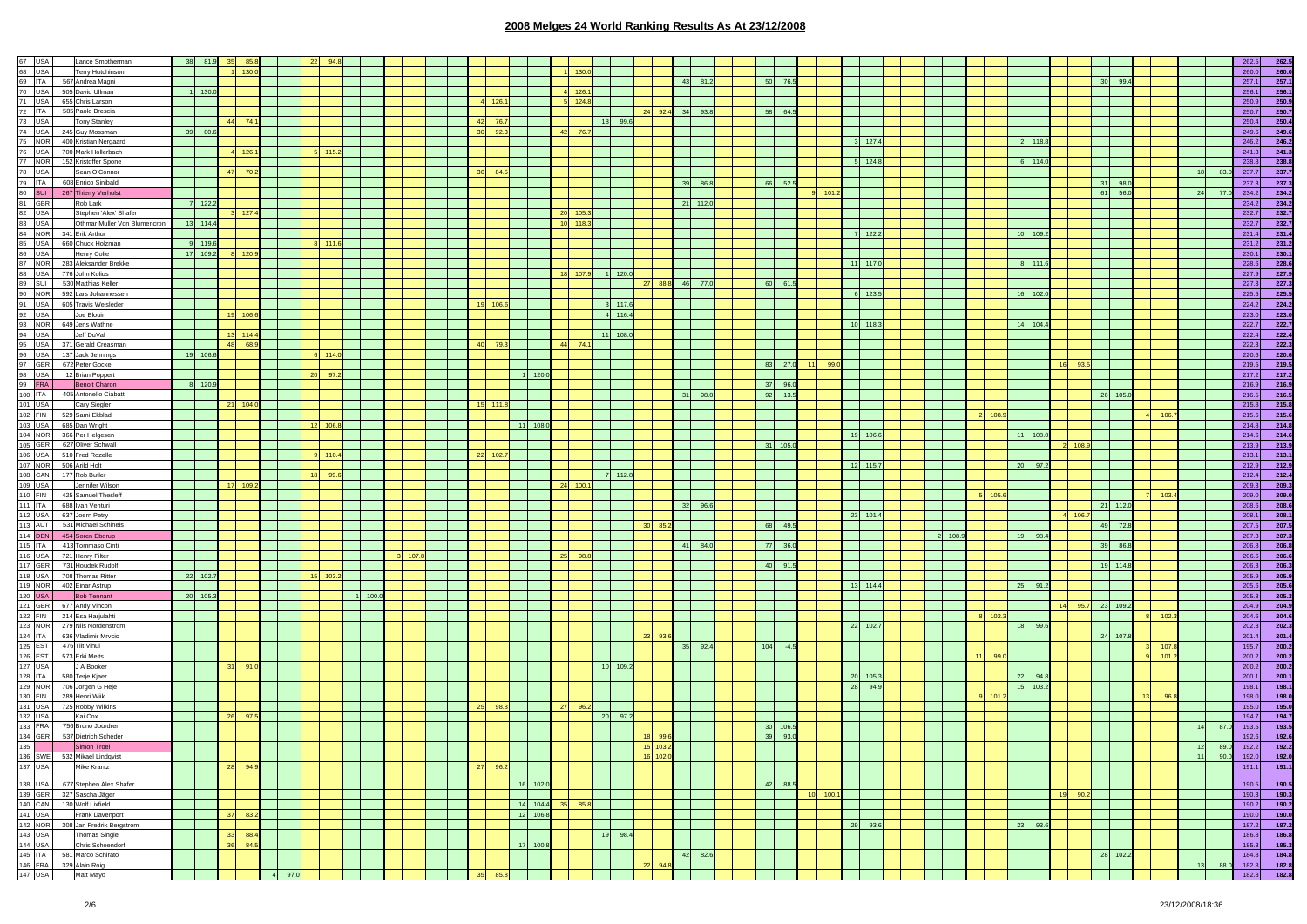| Lance Smotherman                  | 81.      |          |       |    |            |         |     |  |                         |                  |    |            |            |    |            |            |         |               |            |      |             |         |       |             |          |         |         |                         |          |    |         |       | 262.5       |
|-----------------------------------|----------|----------|-------|----|------------|---------|-----|--|-------------------------|------------------|----|------------|------------|----|------------|------------|---------|---------------|------------|------|-------------|---------|-------|-------------|----------|---------|---------|-------------------------|----------|----|---------|-------|-------------|
| Terry Hutchinson                  |          |          |       |    |            |         |     |  |                         |                  |    |            |            |    |            |            |         |               |            |      |             |         |       |             |          |         |         |                         |          |    |         | 260.0 | 260.0       |
| 69 ITA 567 Andrea Magni           |          |          |       |    |            |         |     |  |                         |                  |    |            |            |    |            | 81.2<br>43 |         | 50<br>76.5    |            |      |             |         |       |             |          |         |         | 30 <sup>1</sup><br>99.4 |          |    |         | 257.1 | 257.1       |
| 70 USA 505 David Ullman           | 130.0    |          |       |    |            |         |     |  |                         |                  |    | 4 126.     |            |    |            |            |         |               |            |      |             |         |       |             |          |         |         |                         |          |    |         | 256.1 | 256.1       |
| 71 USA 655 Chris Larson           |          |          |       |    |            |         |     |  | 126                     |                  |    | $5 - 124.$ |            |    |            |            |         |               |            |      |             |         |       |             |          |         |         |                         |          |    |         | 250.9 | 250.9       |
|                                   |          |          |       |    |            |         |     |  |                         |                  |    |            |            |    |            |            |         |               |            |      |             |         |       |             |          |         |         |                         |          |    |         |       |             |
| 72 ITA 585 Paolo Brescia          |          |          |       |    |            |         |     |  |                         |                  |    |            |            |    | 24 92.4 34 | 93.8       |         | 58<br>64.5    |            |      |             |         |       |             |          |         |         |                         |          |    |         | 250.7 | 250.7       |
| Tony Stanley                      |          |          | 74.   |    |            |         |     |  | 76.7<br>42              |                  |    |            | 18 99.6    |    |            |            |         |               |            |      |             |         |       |             |          |         |         |                         |          |    |         | 250.4 | 250.4       |
| 74 USA 245 Guy Mossman            | 39 80.6  |          |       |    |            |         |     |  | 92.3<br>30 <sub>o</sub> |                  | 42 | 76         |            |    |            |            |         |               |            |      |             |         |       |             |          |         |         |                         |          |    |         | 249.6 | 249.6       |
| 400 Kristian Nergaard             |          |          |       |    |            |         |     |  |                         |                  |    |            |            |    |            |            |         |               |            |      | $3 - 127.4$ |         |       |             | 2 118.8  |         |         |                         |          |    |         | 246.2 | 246.2       |
| 700 Mark Hollerbach               |          |          | 126.  |    | $5 - 115.$ |         |     |  |                         |                  |    |            |            |    |            |            |         |               |            |      |             |         |       |             |          |         |         |                         |          |    |         | 241.3 | 241.3       |
|                                   |          |          |       |    |            |         |     |  |                         |                  |    |            |            |    |            |            |         |               |            |      |             |         |       |             |          |         |         |                         |          |    |         |       |             |
| 152 Kristoffer Spone              |          |          |       |    |            |         |     |  |                         |                  |    |            |            |    |            |            |         |               |            |      | 124.8       |         |       |             | 6 114.0  |         |         |                         |          |    |         | 238.8 | 238.8       |
| Sean O'Connor                     |          | 47       | 70.2  |    |            |         |     |  | 36<br>84.5              |                  |    |            |            |    |            |            |         |               |            |      |             |         |       |             |          |         |         |                         |          |    | 18 83.0 | 237.7 | 237.7       |
| 608 Enrico Sinibaldi              |          |          |       |    |            |         |     |  |                         |                  |    |            |            |    |            | 39<br>86.1 |         | 66<br>52.5    |            |      |             |         |       |             |          |         |         | 31<br>98.0              |          |    |         | 237.3 | 237.3       |
| 267 Thierry Verhulst              |          |          |       |    |            |         |     |  |                         |                  |    |            |            |    |            |            |         |               |            | 101. |             |         |       |             |          |         |         | 61<br>56.0              |          | 24 | 77      | 234.2 | 234.2       |
| Rob Lark                          | 7 122.2  |          |       |    |            |         |     |  |                         |                  |    |            |            |    |            | 21 112.0   |         |               |            |      |             |         |       |             |          |         |         |                         |          |    |         | 234.2 | 234.2       |
|                                   |          |          |       |    |            |         |     |  |                         |                  |    |            |            |    |            |            |         |               |            |      |             |         |       |             |          |         |         |                         |          |    |         |       |             |
| Stephen 'Alex' Shafer             |          |          | 127.4 |    |            |         |     |  |                         |                  |    | 20 105     |            |    |            |            |         |               |            |      |             |         |       |             |          |         |         |                         |          |    |         | 232.7 | 232.7       |
| Othmar Muller Von Blumencron      | 13 114.4 |          |       |    |            |         |     |  |                         |                  |    | $10$ 118.  |            |    |            |            |         |               |            |      |             |         |       |             |          |         |         |                         |          |    |         | 232.7 | 232.7       |
| 84 NOR 341 Erik Arthur            |          |          |       |    |            |         |     |  |                         |                  |    |            |            |    |            |            |         |               |            |      | 122.2       |         |       |             | 10 109.2 |         |         |                         |          |    |         | 231.4 | 231.4       |
| 660 Chuck Holzman                 | 9 119.6  |          |       |    |            |         |     |  |                         |                  |    |            |            |    |            |            |         |               |            |      |             |         |       |             |          |         |         |                         |          |    |         | 231.2 | 231.2       |
| Henry Colie                       | 17 109.2 |          | 120.9 |    |            |         |     |  |                         |                  |    |            |            |    |            |            |         |               |            |      |             |         |       |             |          |         |         |                         |          |    |         | 230.1 | 230.1       |
| 283 Aleksander Brekke             |          |          |       |    |            |         |     |  |                         |                  |    |            |            |    |            |            |         |               |            |      | $11$ 117.   |         |       |             | 111.6    |         |         |                         |          |    |         | 228.6 | 228.6       |
|                                   |          |          |       |    |            |         |     |  |                         |                  |    |            |            |    |            |            |         |               |            |      |             |         |       |             |          |         |         |                         |          |    |         |       |             |
| 776 John Kolius                   |          |          |       |    |            |         |     |  |                         |                  |    | 18 107.    | 120.0      |    |            |            |         |               |            |      |             |         |       |             |          |         |         |                         |          |    |         | 227.9 | 227.9       |
| 89 SUI 530 Matthias Keller        |          |          |       |    |            |         |     |  |                         |                  |    |            |            | 27 | 88.8       | 46<br>77.0 |         | 60<br>61.5    |            |      |             |         |       |             |          |         |         |                         |          |    |         | 227.3 | 227.3       |
| 90 NOR 592 Lars Johannessen       |          |          |       |    |            |         |     |  |                         |                  |    |            |            |    |            |            |         |               |            |      | 123.5       |         |       |             | 16 102.0 |         |         |                         |          |    |         | 225.5 | 225.5       |
| 91 USA 605 Travis Weisleder       |          |          |       |    |            |         |     |  | 19 106.6                |                  |    |            | 117.6      |    |            |            |         |               |            |      |             |         |       |             |          |         |         |                         |          |    |         | 224.2 | 224.2       |
| Joe Blouin                        |          | 19 106.6 |       |    |            |         |     |  |                         |                  |    |            | 4 116.4    |    |            |            |         |               |            |      |             |         |       |             |          |         |         |                         |          |    |         | 223.0 | 223.0       |
| 93 NOR 649 Jens Wathne            |          |          |       |    |            |         |     |  |                         |                  |    |            |            |    |            |            |         |               |            |      | 10 118.3    |         |       |             | 14 104.4 |         |         |                         |          |    |         | 222.7 |             |
|                                   |          |          |       |    |            |         |     |  |                         |                  |    |            |            |    |            |            |         |               |            |      |             |         |       |             |          |         |         |                         |          |    |         |       | 222.7       |
| Jeff DuVal                        |          |          | 114.4 |    |            |         |     |  |                         |                  |    |            | 108.0      |    |            |            |         |               |            |      |             |         |       |             |          |         |         |                         |          |    |         | 222.4 | 222.4       |
| 95 USA 371 Gerald Creasman        |          | 48       | 68.9  |    |            |         |     |  | 40<br>79                |                  |    | 44 74      |            |    |            |            |         |               |            |      |             |         |       |             |          |         |         |                         |          |    |         | 222.3 | 222.3       |
| 96 USA 137 Jack Jennings          | 19 106.6 |          |       |    | 6 114      |         |     |  |                         |                  |    |            |            |    |            |            |         |               |            |      |             |         |       |             |          |         |         |                         |          |    |         | 220.6 | 220.6       |
| 672 Peter Gockel                  |          |          |       |    |            |         |     |  |                         |                  |    |            |            |    |            |            |         | 83<br>27.0    |            | 99.0 |             |         |       |             |          | 16      |         |                         |          |    |         | 219.5 | 219.5       |
| 12 Brian Poppert                  |          |          |       | 20 | 97         |         |     |  |                         | 120.1            |    |            |            |    |            |            |         |               |            |      |             |         |       |             |          |         |         |                         |          |    |         | 217.2 | 217.2       |
|                                   | 8 120.9  |          |       |    |            |         |     |  |                         |                  |    |            |            |    |            |            |         |               |            |      |             |         |       |             |          |         |         |                         |          |    |         |       |             |
| <b>Benoit Charon</b>              |          |          |       |    |            |         |     |  |                         |                  |    |            |            |    |            |            |         | 37 96.0       |            |      |             |         |       |             |          |         |         |                         |          |    |         | 216.9 | 216.9       |
| 405 Antonello Ciabatti            |          |          |       |    |            |         |     |  |                         |                  |    |            |            |    |            | 31<br>98.0 |         | 92<br>13.5    |            |      |             |         |       |             |          |         |         | 26<br>105.0             |          |    |         | 216.5 | 216.5       |
| Cary Siegler                      |          | 21       | 104.0 |    |            |         |     |  | 15 111.8                |                  |    |            |            |    |            |            |         |               |            |      |             |         |       |             |          |         |         |                         |          |    |         | 215.8 | 215.8       |
| 102 FIN 529 Sami Ekblad           |          |          |       |    |            |         |     |  |                         |                  |    |            |            |    |            |            |         |               |            |      |             |         |       | 2 108.      |          |         |         |                         | 106      |    |         | 215.6 | 215.6       |
| 103 USA 685 Dan Wright            |          |          |       |    | 12 106     |         |     |  |                         | 11<br>108.0      |    |            |            |    |            |            |         |               |            |      |             |         |       |             |          |         |         |                         |          |    |         | 214.8 | 214.8       |
| 104 NOR 366 Per Helgesen          |          |          |       |    |            |         |     |  |                         |                  |    |            |            |    |            |            |         |               |            | 19   | 106.6       |         |       |             | 11 108.0 |         |         |                         |          |    |         | 214.6 | 214.6       |
|                                   |          |          |       |    |            |         |     |  |                         |                  |    |            |            |    |            |            |         |               |            |      |             |         |       |             |          |         |         |                         |          |    |         |       |             |
| 105 GER 627 Oliver Schwall        |          |          |       |    |            |         |     |  |                         |                  |    |            |            |    |            |            |         | 31 105.0      |            |      |             |         |       |             |          |         | 2 108.9 |                         |          |    |         | 213.9 | 213.9       |
| 106 USA 510 Fred Rozelle          |          |          |       |    |            |         |     |  | 22<br>102.              |                  |    |            |            |    |            |            |         |               |            |      |             |         |       |             |          |         |         |                         |          |    |         | 213.1 | 213.1       |
| 107 NOR 506 Arild Holt            |          |          |       |    |            |         |     |  |                         |                  |    |            |            |    |            |            |         |               |            |      | 12 115.7    |         |       |             | 20 97.2  |         |         |                         |          |    |         | 212.9 | 212.9       |
| 108 CAN 177 Rob Butler            |          |          |       | 18 | 99.        |         |     |  |                         |                  |    |            | 112.8      |    |            |            |         |               |            |      |             |         |       |             |          |         |         |                         |          |    |         | 212.4 | 212.4       |
| Jennifer Wilson                   |          | 17       | 109   |    |            |         |     |  |                         |                  |    | 24 100     |            |    |            |            |         |               |            |      |             |         |       |             |          |         |         |                         |          |    |         | 209.3 | 209.3       |
| 110 FIN 425 Samuel Thesleff       |          |          |       |    |            |         |     |  |                         |                  |    |            |            |    |            |            |         |               |            |      |             |         |       | $5 - 105.$  |          |         |         |                         | 103.     |    |         | 209.0 | 209.0       |
|                                   |          |          |       |    |            |         |     |  |                         |                  |    |            |            |    |            |            |         |               |            |      |             |         |       |             |          |         |         |                         |          |    |         |       |             |
| 688 Ivan Venturi                  |          |          |       |    |            |         |     |  |                         |                  |    |            |            |    |            | 32<br>96.6 |         |               |            |      |             |         |       |             |          |         |         | 21 112.0                |          |    |         | 208.6 | 208.6       |
| 637 Joern Petry                   |          |          |       |    |            |         |     |  |                         |                  |    |            |            |    |            |            |         |               |            |      | 23 101.4    |         |       |             |          |         | 4 106.7 |                         |          |    |         | 208.1 | 208.1       |
| 113 AUT 531 Michael Schineis      |          |          |       |    |            |         |     |  |                         |                  |    |            |            | 30 | 85.2       |            |         | 68<br>49.5    |            |      |             |         |       |             |          |         |         | 49 72.8                 |          |    |         | 207.5 | 207.5       |
| 114 DEN 454 Soren Ebdrup          |          |          |       |    |            |         |     |  |                         |                  |    |            |            |    |            |            |         |               |            |      |             | 2 108.9 |       |             | 19 98.4  |         |         |                         |          |    |         | 207.3 | 207.3       |
| 115 ITA 413 Tommaso Cinti         |          |          |       |    |            |         |     |  |                         |                  |    |            |            |    |            | 41<br>84.0 |         | 77<br>36.0    |            |      |             |         |       |             |          |         |         | 39<br>86.8              |          |    |         | 206.8 | 206.8       |
|                                   |          |          |       |    |            |         | 107 |  |                         |                  |    | 25 98.     |            |    |            |            |         |               |            |      |             |         |       |             |          |         |         |                         |          |    |         | 206.6 |             |
| 116 USA 721 Henry Filter          |          |          |       |    |            |         |     |  |                         |                  |    |            |            |    |            |            |         |               |            |      |             |         |       |             |          |         |         |                         |          |    |         |       | 206.6       |
| 117 GER 731 Houdek Rudolf         |          |          |       |    |            |         |     |  |                         |                  |    |            |            |    |            |            |         | 40<br>91.5    |            |      |             |         |       |             |          |         |         | 19 114.8                |          |    |         | 206.3 | 206.3       |
| 118 USA 708 Thomas Ritter         | 22 102.7 |          |       |    | 15 103.2   |         |     |  |                         |                  |    |            |            |    |            |            |         |               |            |      |             |         |       |             |          |         |         |                         |          |    |         | 205.9 | 205.9       |
| 119 NOR 402 Einar Astrup          |          |          |       |    |            |         |     |  |                         |                  |    |            |            |    |            |            |         |               |            |      | 13 114.4    |         |       |             | 25 91.2  |         |         |                         |          |    |         | 205.6 | 205.6       |
| <b>Bob Tennant</b>                | 20 105.3 |          |       |    |            | 11100.0 |     |  |                         |                  |    |            |            |    |            |            |         |               |            |      |             |         |       |             |          |         |         |                         |          |    |         | 205.3 | 205.3       |
| 121 GER 677 Andy Vincon           |          |          |       |    |            |         |     |  |                         |                  |    |            |            |    |            |            |         |               |            |      |             |         |       |             |          |         | 95.7    | 23 109.2                |          |    |         | 204.9 | 204.9       |
| 122 FIN 214 Esa Harjulahti        |          |          |       |    |            |         |     |  |                         |                  |    |            |            |    |            |            |         |               |            |      |             |         |       | $8 - 102.3$ |          |         |         |                         | 102.     |    |         | 204.6 | 204.6       |
| 123 NOR 279 Nils Nordenstrom      |          |          |       |    |            |         |     |  |                         |                  |    |            |            |    |            |            |         |               |            |      | 22 102.7    |         |       |             | 18 99.6  |         |         |                         |          |    |         |       | 202.3       |
|                                   |          |          |       |    |            |         |     |  |                         |                  |    |            |            |    |            |            |         |               |            |      |             |         |       |             |          |         |         |                         |          |    |         | 202.3 |             |
| 636 Vladimir Mrvcic               |          |          |       |    |            |         |     |  |                         |                  |    |            |            |    | 23 93.6    |            |         |               |            |      |             |         |       |             |          |         |         | 24 107.8                |          |    |         | 201.4 | 201.4       |
| 476 Tiit Vihul                    |          |          |       |    |            |         |     |  |                         |                  |    |            |            |    |            | 35<br>92.4 |         | 104<br>$-4.5$ |            |      |             |         |       |             |          |         |         |                         | 107.     |    |         | 195.7 | 200.2       |
| 126 EST 573 Erki Melts            |          |          |       |    |            |         |     |  |                         |                  |    |            |            |    |            |            |         |               |            |      |             |         | $-11$ | 99.         |          |         |         |                         | 101.     |    |         | 200.2 | 200.2       |
| J A Booker                        |          | 31       | 91.0  |    |            |         |     |  |                         |                  |    |            | 10 109.2   |    |            |            |         |               |            |      |             |         |       |             |          |         |         |                         |          |    |         | 200.2 | 200.2       |
| 580 Terje Kjaer                   |          |          |       |    |            |         |     |  |                         |                  |    |            |            |    |            |            |         |               |            |      | 20 105.     |         |       |             | 22 94.8  |         |         |                         |          |    |         | 200.1 | 200.1       |
| 129 NOR 706 Jorgen G Heje         |          |          |       |    |            |         |     |  |                         |                  |    |            |            |    |            |            |         |               |            | 28   | 94.9        |         |       |             | 15 103.2 |         |         |                         |          |    |         | 198.1 | 198.1       |
|                                   |          |          |       |    |            |         |     |  |                         |                  |    |            |            |    |            |            |         |               |            |      |             |         |       |             |          |         |         |                         |          |    |         |       |             |
| 130 FIN 289 Henri Wiik            |          |          |       |    |            |         |     |  |                         |                  |    |            |            |    |            |            |         |               |            |      |             |         |       | 9 101       |          |         |         |                         | 13       |    |         | 198.0 | 198.0       |
| 131 USA 725 Robby Wilkins         |          |          |       |    |            |         |     |  | 25<br>98.8              |                  |    | 96         |            |    |            |            |         |               |            |      |             |         |       |             |          |         |         |                         |          |    |         | 195.0 | 195.0       |
| Kai Cox                           |          | - 26     | 97.5  |    |            |         |     |  |                         |                  |    |            | 20<br>97.2 |    |            |            |         |               |            |      |             |         |       |             |          |         |         |                         |          |    |         | 194.7 | 194.7       |
| 133 FRA 756 Bruno Jourdren        |          |          |       |    |            |         |     |  |                         |                  |    |            |            |    |            |            |         | 30<br>106.5   |            |      |             |         |       |             |          |         |         |                         |          |    | 87.0    | 193.5 | 193.5       |
| 134 GER 537 Dietrich Scheder      |          |          |       |    |            |         |     |  |                         |                  |    |            |            |    |            |            |         | 93.0<br>39    |            |      |             |         |       |             |          |         |         |                         |          |    |         | 192.6 | 192.6       |
| Simon Troel                       |          |          |       |    |            |         |     |  |                         |                  |    |            |            |    | 15 103.2   |            |         |               |            |      |             |         |       |             |          |         |         |                         |          |    | 12 89.0 | 192.2 | 192.2       |
| 136 SWE 532 Mikael Lindqvist      |          |          |       |    |            |         |     |  |                         |                  |    |            |            |    | 16 102.0   |            |         |               |            |      |             |         |       |             |          |         |         |                         |          | 11 |         |       |             |
|                                   |          |          |       |    |            |         |     |  |                         |                  |    |            |            |    |            |            |         |               |            |      |             |         |       |             |          |         |         |                         |          |    | 90.0    | 192.0 | 192.0       |
| Mike Krantz                       |          | 28       | 94.9  |    |            |         |     |  | 27<br>96.2              |                  |    |            |            |    |            |            |         |               |            |      |             |         |       |             |          |         |         |                         |          |    |         | 191.1 | $-191.1$    |
|                                   |          |          |       |    |            |         |     |  |                         |                  |    |            |            |    |            |            |         |               |            |      |             |         |       |             |          |         |         |                         |          |    |         |       |             |
| 677 Stephen Alex Shafer           |          |          |       |    |            |         |     |  |                         | 102.0<br>16      |    |            |            |    |            |            |         | 42<br>88      |            |      |             |         |       |             |          |         |         |                         |          |    |         | 190.5 | 190.5       |
| 139 GER 327 Sascha Jäger          |          |          |       |    |            |         |     |  |                         |                  |    |            |            |    |            |            |         |               | $10$ 100.1 |      |             |         |       |             |          | 19 90.2 |         |                         |          |    |         | 190.3 | 190.3       |
| 140 CAN 130 Wolf Lixfield         |          |          |       |    |            |         |     |  |                         | 14 104.4 35 85.8 |    |            |            |    |            |            |         |               |            |      |             |         |       |             |          |         |         |                         |          |    |         | 190.2 | 190.2       |
| 141 USA Frank Davenport           |          | 37       | 83.2  |    |            |         |     |  |                         | 12 106.8         |    |            |            |    |            |            |         |               |            |      |             |         |       |             |          |         |         |                         |          |    |         |       | 190.0 190.0 |
| 142 NOR 308 Jan Fredrik Bergstrom |          |          |       |    |            |         |     |  |                         |                  |    |            |            |    |            |            |         |               |            |      |             |         |       |             | 23 93.6  |         |         |                         |          |    |         |       |             |
|                                   |          |          |       |    |            |         |     |  |                         |                  |    |            |            |    |            |            |         |               |            |      | 29 93.6     |         |       |             |          |         |         |                         |          |    |         |       | 187.2 187.2 |
| 143 USA Thomas Single             |          | $-33$    | 88.4  |    |            |         |     |  |                         |                  |    |            | 19 98.4    |    |            |            |         |               |            |      |             |         |       |             |          |         |         |                         |          |    |         | 186.8 | 186.8       |
|                                   |          | 36       | 84.5  |    |            |         |     |  |                         | 17 100.8         |    |            |            |    |            |            |         |               |            |      |             |         |       |             |          |         |         |                         |          |    |         | 185.3 | 185.3       |
| 144 USA Chris Schoendorf          |          |          |       |    |            |         |     |  |                         |                  |    |            |            |    |            |            |         |               |            |      |             |         |       |             |          |         |         |                         |          |    |         |       |             |
| 145 ITA 581 Marco Schirato        |          |          |       |    |            |         |     |  |                         |                  |    |            |            |    |            |            |         |               |            |      |             |         |       |             |          |         |         |                         |          |    |         | 184.8 | 184.8       |
| 146 FRA 329 Alain Roig            |          |          |       |    |            |         |     |  |                         |                  |    |            |            |    |            |            |         |               |            |      |             |         |       |             |          |         |         |                         |          |    | 88.0    | 182.8 | 182.8       |
|                                   |          |          |       |    |            |         |     |  |                         |                  |    |            |            |    |            | 22 94.8    | 42 82.6 |               |            |      |             |         |       |             |          |         |         |                         | 28 102.2 |    |         | 13    |             |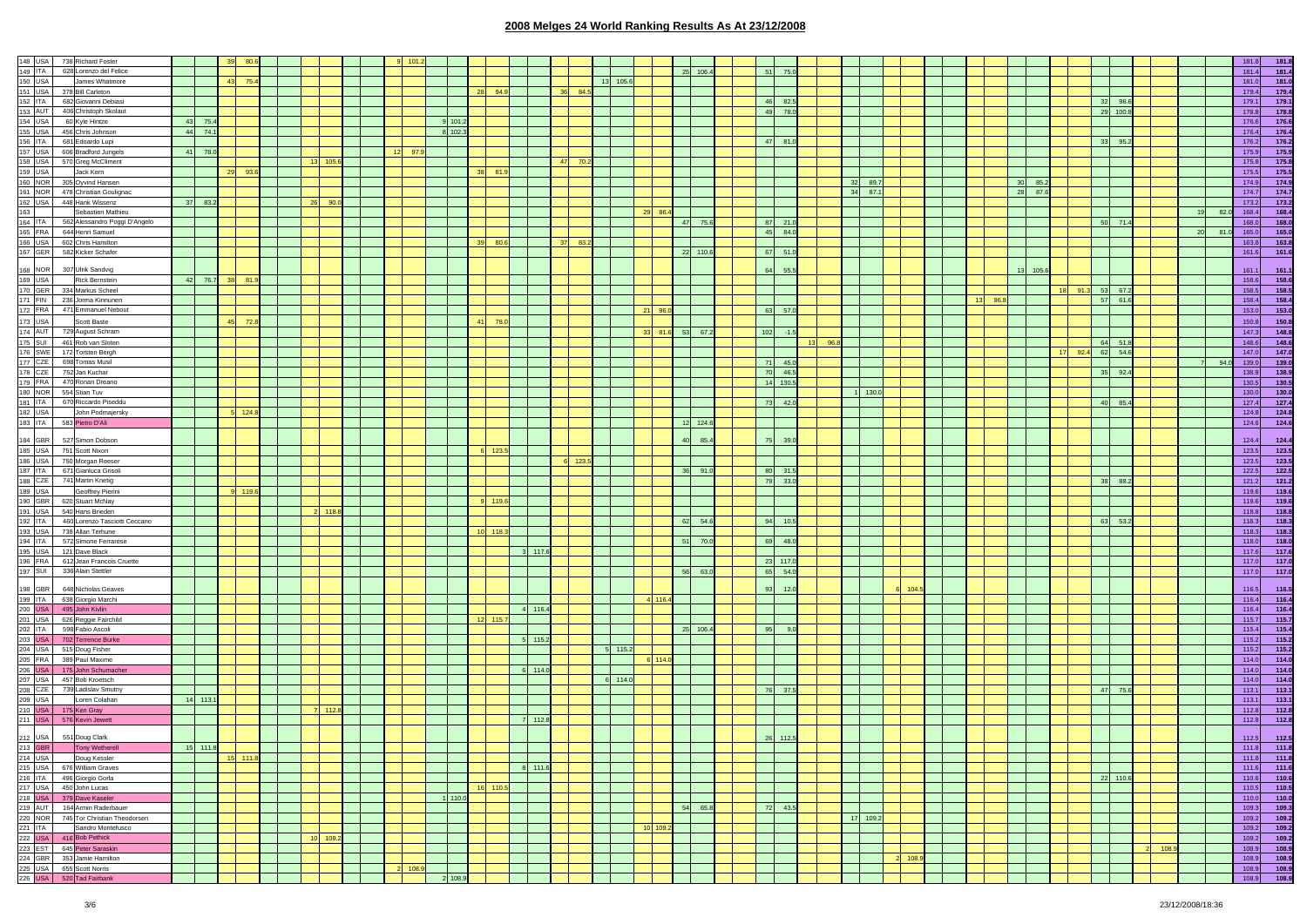|                                      | 148 USA 738 Richard Foster                                                                                                                                                                                                                   |          |                 |                          |      |             |  |         |         |            |             |         |         |             |       |          |    |           |                |          |                                                                                                                       |            |        |  |      |             |         |          |          |       |      | 181.8<br>181.8 |
|--------------------------------------|----------------------------------------------------------------------------------------------------------------------------------------------------------------------------------------------------------------------------------------------|----------|-----------------|--------------------------|------|-------------|--|---------|---------|------------|-------------|---------|---------|-------------|-------|----------|----|-----------|----------------|----------|-----------------------------------------------------------------------------------------------------------------------|------------|--------|--|------|-------------|---------|----------|----------|-------|------|----------------|
| 149 ITA                              | 628 Lorenzo del Felice                                                                                                                                                                                                                       |          |                 |                          |      |             |  |         |         |            |             |         |         |             |       |          |    | $25$ 106. | 51             |          |                                                                                                                       |            |        |  |      |             |         |          |          |       |      | 181.4<br>181.4 |
|                                      | 150 USA James Whatn<br>151 USA 378 Bill Carleton<br>James Whatmore                                                                                                                                                                           |          | 43 75.4         |                          |      |             |  |         |         |            |             |         |         | 105.6<br>13 |       |          |    |           |                |          |                                                                                                                       |            |        |  |      |             |         |          |          |       |      | 181.0<br>181.0 |
|                                      |                                                                                                                                                                                                                                              |          |                 |                          |      |             |  |         |         | 28 94.9    |             | 36 84.5 |         |             |       |          |    |           |                |          |                                                                                                                       |            |        |  |      |             |         |          |          |       |      | 179.4<br>179.4 |
|                                      |                                                                                                                                                                                                                                              |          |                 |                          |      |             |  |         |         |            |             |         |         |             |       |          |    |           | 46             | 82.5     |                                                                                                                       |            |        |  |      |             |         |          | 32 96.6  |       |      | 179.1<br>179.1 |
|                                      | 152 ITA 682 Giovanni Debiasi<br>153 AUT 406 Christoph Skolaut                                                                                                                                                                                |          |                 |                          |      |             |  |         |         |            |             |         |         |             |       |          |    |           | 49             | 78.0     |                                                                                                                       |            |        |  |      |             |         | 29 100.8 |          |       |      | 178.8<br>178.8 |
| 154 USA                              | 60 Kyle Hintze                                                                                                                                                                                                                               | 43 75.4  |                 |                          |      |             |  |         | 101.2   |            |             |         |         |             |       |          |    |           |                |          |                                                                                                                       |            |        |  |      |             |         |          |          |       |      | 176.6<br>176.6 |
| 155 USA                              | 456 Chris Johnson                                                                                                                                                                                                                            | 44 74.1  |                 |                          |      |             |  |         | 8 102.3 |            |             |         |         |             |       |          |    |           |                |          |                                                                                                                       |            |        |  |      |             |         |          |          |       |      | 176.4<br>176.4 |
|                                      |                                                                                                                                                                                                                                              |          |                 |                          |      |             |  |         |         |            |             |         |         |             |       |          |    |           | 47             | 81.0     |                                                                                                                       |            |        |  |      |             |         | 33       | 95.2     |       |      | 176.2<br>176.2 |
|                                      |                                                                                                                                                                                                                                              |          |                 |                          |      |             |  |         |         |            |             |         |         |             |       |          |    |           |                |          |                                                                                                                       |            |        |  |      |             |         |          |          |       |      |                |
|                                      | 156 ITA 681 Edoardo Lupi<br>157 USA 606 Bradford Junjei<br>158 USA 570 Greg McCliment<br>159 USA Jack Kern<br>160 NOR 305 Oyvind Hansen<br>606 Bradford Jungels                                                                              | 41 78.0  |                 |                          |      |             |  | 97.9    |         |            |             |         |         |             |       |          |    |           |                |          |                                                                                                                       |            |        |  |      |             |         |          |          |       |      | 175.9<br>175.9 |
|                                      |                                                                                                                                                                                                                                              |          |                 |                          |      | 13 105.6    |  |         |         |            |             | 47 70.2 |         |             |       |          |    |           |                |          |                                                                                                                       |            |        |  |      |             |         |          |          |       |      | 175.8<br>175.8 |
|                                      |                                                                                                                                                                                                                                              |          | 93.6<br>29      |                          |      |             |  |         |         | 38<br>81.9 |             |         |         |             |       |          |    |           |                |          |                                                                                                                       |            |        |  |      |             |         |          |          |       |      | 175.5<br>175.5 |
|                                      |                                                                                                                                                                                                                                              |          |                 |                          |      |             |  |         |         |            |             |         |         |             |       |          |    |           |                |          |                                                                                                                       | 32<br>89.7 |        |  |      | 30 85.2     |         |          |          |       |      | 174.9<br>174.9 |
| 161 NOR                              | 478 Christian Goulignac                                                                                                                                                                                                                      |          |                 |                          |      |             |  |         |         |            |             |         |         |             |       |          |    |           |                |          |                                                                                                                       | 34 87.1    |        |  |      | 28 87.6     |         |          |          |       |      | 174.7<br>174.7 |
|                                      | 162 USA 448 Hank Wissenz<br>163 Sebastien Mathieu<br>164 ITA 562 Alessandro Poggi D'Angelo                                                                                                                                                   | 37 83.2  |                 |                          | - 26 |             |  |         |         |            |             |         |         |             |       |          |    |           |                |          |                                                                                                                       |            |        |  |      |             |         |          |          |       |      | 173.2<br>173.2 |
|                                      |                                                                                                                                                                                                                                              |          |                 |                          |      |             |  |         |         |            |             |         |         |             |       | 29 86.4  |    |           |                |          |                                                                                                                       |            |        |  |      |             |         |          |          |       | 82.0 | 168.4<br>168.4 |
|                                      |                                                                                                                                                                                                                                              |          |                 |                          |      |             |  |         |         |            |             |         |         |             |       |          |    | 47 75.6   | 87             | 21.0     |                                                                                                                       |            |        |  |      |             |         |          | 50 71.4  |       |      | 168.0<br>168.0 |
|                                      | 165 FRA 644 Henri Samuel<br>166 USA 602 Chris Hamilton                                                                                                                                                                                       |          |                 |                          |      |             |  |         |         |            |             |         |         |             |       |          |    |           | - 45           | 84.0     |                                                                                                                       |            |        |  |      |             |         |          |          |       | 81.0 | 165.0<br>165.0 |
|                                      |                                                                                                                                                                                                                                              |          |                 |                          |      |             |  |         |         | 80.6       |             | 37 83.2 |         |             |       |          |    |           |                |          |                                                                                                                       |            |        |  |      |             |         |          |          |       |      | 163.8<br>163.8 |
| 167 GER                              | 582 Kicker Schafer                                                                                                                                                                                                                           |          |                 |                          |      |             |  |         |         |            |             |         |         |             |       |          | 22 | 110.6     | 67             | 51.0     |                                                                                                                       |            |        |  |      |             |         |          |          |       |      | 161.6<br>161.6 |
|                                      |                                                                                                                                                                                                                                              |          |                 |                          |      |             |  |         |         |            |             |         |         |             |       |          |    |           |                |          |                                                                                                                       |            |        |  |      |             |         |          |          |       |      |                |
| 168 NOR<br>169 USA                   | 307 Ulrik Sandvig                                                                                                                                                                                                                            |          |                 |                          |      |             |  |         |         |            |             |         |         |             |       |          |    |           | 64             | 55.5     |                                                                                                                       |            |        |  |      | 13<br>105.6 |         |          |          |       |      | 161.1<br>161.1 |
|                                      | <b>Rick Bernstein</b>                                                                                                                                                                                                                        |          | 42 76.7 38 81.9 |                          |      |             |  |         |         |            |             |         |         |             |       |          |    |           |                |          |                                                                                                                       |            |        |  |      |             |         |          |          |       |      | 158.6<br>158.6 |
|                                      | 170 GER 334 Markus Scheel                                                                                                                                                                                                                    |          |                 |                          |      |             |  |         |         |            |             |         |         |             |       |          |    |           |                |          |                                                                                                                       |            |        |  |      |             | 18 91.3 | 53 67.   |          |       |      | 158.5<br>158.5 |
|                                      | 171 FIN 236 Jorma Kinnunen<br>172 FRA 471 Emmanuel Nebout<br>173 USA Scott Baste                                                                                                                                                             |          |                 |                          |      |             |  |         |         |            |             |         |         |             |       |          |    |           |                |          |                                                                                                                       |            |        |  | 96.8 |             |         |          | 57 61.6  |       |      | 158.4<br>158.4 |
|                                      |                                                                                                                                                                                                                                              |          |                 |                          |      |             |  |         |         |            |             |         |         |             |       | 21 96.0  |    |           | 63             | 57.0     |                                                                                                                       |            |        |  |      |             |         |          |          |       |      | 153.0<br>153.0 |
|                                      |                                                                                                                                                                                                                                              |          | 45<br>72.8      |                          |      |             |  |         |         | 78.0       |             |         |         |             |       |          |    |           |                |          |                                                                                                                       |            |        |  |      |             |         |          |          |       |      | 150.8<br>150.8 |
|                                      |                                                                                                                                                                                                                                              |          |                 |                          |      |             |  |         |         |            |             |         |         |             |       | 33 81.6  | 53 | 67.2      | 102            | $-1.5$   |                                                                                                                       |            |        |  |      |             |         |          |          |       |      | 147.3<br>148.8 |
|                                      | 173 BUT 209<br>174 BUT 729 August Schram<br>175 SUI 461 Rob van Sloten<br>176 SWE 172 Torsten Bergh<br>177 CZE 698 Tomas Musil                                                                                                               |          |                 |                          |      |             |  |         |         |            |             |         |         |             |       |          |    |           |                |          | 96.8                                                                                                                  |            |        |  |      |             |         | 64 51.   |          |       |      | 148.6<br>148.6 |
|                                      |                                                                                                                                                                                                                                              |          |                 |                          |      |             |  |         |         |            |             |         |         |             |       |          |    |           |                |          |                                                                                                                       |            |        |  |      |             | 17 92.4 | 62 54.6  |          |       |      | 147.0<br>147.0 |
|                                      |                                                                                                                                                                                                                                              |          |                 |                          |      |             |  |         |         |            |             |         |         |             |       |          |    |           |                | 71 45.0  |                                                                                                                       |            |        |  |      |             |         |          |          |       | 94(  | 139.0<br>139.0 |
|                                      | 752 Jan Kuchar                                                                                                                                                                                                                               |          |                 |                          |      |             |  |         |         |            |             |         |         |             |       |          |    |           | 70             | 46.5     |                                                                                                                       |            |        |  |      |             |         |          | 35 92.4  |       |      | 138.9<br>138.9 |
| 178 CZE<br>179 FRA                   | 470 Ronan Dreano                                                                                                                                                                                                                             |          |                 |                          |      |             |  |         |         |            |             |         |         |             |       |          |    |           |                | 14 130.5 |                                                                                                                       |            |        |  |      |             |         |          |          |       |      | 130.5<br>130.5 |
| 180 NOR                              | 554 Stian Tuv                                                                                                                                                                                                                                |          |                 |                          |      |             |  |         |         |            |             |         |         |             |       |          |    |           |                |          |                                                                                                                       | 1 130.0    |        |  |      |             |         |          |          |       |      | 130.0<br>130.0 |
|                                      | 181 ITA 670 Riccardo Piseddu                                                                                                                                                                                                                 |          |                 |                          |      |             |  |         |         |            |             |         |         |             |       |          |    |           | 73             | 42.0     |                                                                                                                       |            |        |  |      |             |         | 40 85.4  |          |       |      | 127.4<br>127.4 |
|                                      | John Podmajersky                                                                                                                                                                                                                             |          | $5 - 124.8$     |                          |      |             |  |         |         |            |             |         |         |             |       |          |    |           |                |          |                                                                                                                       |            |        |  |      |             |         |          |          |       |      | 124.8<br>124.8 |
|                                      | 182 USA John Podma<br>183 ITA 583 Pietro D'Ali                                                                                                                                                                                               |          |                 |                          |      |             |  |         |         |            |             |         |         |             |       |          |    | 12 124.6  |                |          |                                                                                                                       |            |        |  |      |             |         |          |          |       |      | 124.6<br>124.6 |
|                                      |                                                                                                                                                                                                                                              |          |                 |                          |      |             |  |         |         |            |             |         |         |             |       |          |    |           |                |          |                                                                                                                       |            |        |  |      |             |         |          |          |       |      |                |
| 184 GBR                              | 527 Simon Dobson                                                                                                                                                                                                                             |          |                 |                          |      |             |  |         |         |            |             |         |         |             |       |          | 40 | 85.       |                | 39.      |                                                                                                                       |            |        |  |      |             |         |          |          |       |      | 124.4<br>124.4 |
|                                      |                                                                                                                                                                                                                                              |          |                 |                          |      |             |  |         |         | 123.5      |             |         |         |             |       |          |    |           |                |          |                                                                                                                       |            |        |  |      |             |         |          |          |       |      | 123.5<br>123.5 |
|                                      |                                                                                                                                                                                                                                              |          |                 |                          |      |             |  |         |         |            |             |         | 6 123.5 |             |       |          |    |           |                |          |                                                                                                                       |            |        |  |      |             |         |          |          |       |      | 123.5<br>123.5 |
|                                      |                                                                                                                                                                                                                                              |          |                 |                          |      |             |  |         |         |            |             |         |         |             |       |          | 36 | 91.0      | 80             | 31.5     |                                                                                                                       |            |        |  |      |             |         |          |          |       |      | 122.5<br>122.5 |
|                                      |                                                                                                                                                                                                                                              |          |                 |                          |      |             |  |         |         |            |             |         |         |             |       |          |    |           | 79             | 33.0     |                                                                                                                       |            |        |  |      |             |         | 38       | 88.      |       |      | 121.2<br>121.2 |
|                                      |                                                                                                                                                                                                                                              |          | $9 - 119.6$     |                          |      |             |  |         |         |            |             |         |         |             |       |          |    |           |                |          |                                                                                                                       |            |        |  |      |             |         |          |          |       |      | 119.6<br>119.6 |
|                                      | 184 (SBR 527)<br>ISBN 52751 Scott Nixon<br>185 USA 7550 Morgan Reeser<br>186 USA 7550 Morgan Reeser<br>186 CZE 741 Martin Knetig<br>199 USA 540 Hans Brieden<br>191 USA 540 Hans Brieden<br>197 USA 460 Lorenzo Tasciotti Ceccano<br>192 ITA |          |                 |                          |      |             |  |         |         | 9 119.6    |             |         |         |             |       |          |    |           |                |          |                                                                                                                       |            |        |  |      |             |         |          |          |       |      | 119.6<br>119.6 |
|                                      |                                                                                                                                                                                                                                              |          |                 |                          |      | 118.8       |  |         |         |            |             |         |         |             |       |          |    |           |                |          |                                                                                                                       |            |        |  |      |             |         |          |          |       |      | 118.8<br>118.8 |
|                                      |                                                                                                                                                                                                                                              |          |                 |                          |      |             |  |         |         |            |             |         |         |             |       |          | 62 | 54.6      | 94             | 10.5     |                                                                                                                       |            |        |  |      |             |         |          | 63 53.2  |       |      | 118.3<br>118.3 |
| 193 USA                              | 738 Allan Terhune                                                                                                                                                                                                                            |          |                 |                          |      |             |  |         |         | 118.3      |             |         |         |             |       |          |    |           |                |          |                                                                                                                       |            |        |  |      |             |         |          |          |       |      | 118.3<br>118.3 |
| 194 ITA                              | 572 Simone Ferrarese                                                                                                                                                                                                                         |          |                 |                          |      |             |  |         |         |            |             |         |         |             |       |          | 51 | 70.0      | 69             | 48.0     |                                                                                                                       |            |        |  |      |             |         |          |          |       |      | 118.0<br>118.0 |
|                                      |                                                                                                                                                                                                                                              |          |                 |                          |      |             |  |         |         |            | $3 - 117.1$ |         |         |             |       |          |    |           |                |          |                                                                                                                       |            |        |  |      |             |         |          |          |       |      | 117.6<br>117.6 |
|                                      |                                                                                                                                                                                                                                              |          |                 |                          |      |             |  |         |         |            |             |         |         |             |       |          |    |           |                | 23 117.0 |                                                                                                                       |            |        |  |      |             |         |          |          |       |      | 117.0<br>117.0 |
|                                      | 195 USA 121 Dave Black<br>196 FRA 612 Jean Francois Cruette<br>197 SUI 336 Alain Stettler                                                                                                                                                    |          |                 |                          |      |             |  |         |         |            |             |         |         |             |       |          | 56 | 63.0      | 65 54.0        |          |                                                                                                                       |            |        |  |      |             |         |          |          |       |      | 117.0<br>117.0 |
|                                      |                                                                                                                                                                                                                                              |          |                 |                          |      |             |  |         |         |            |             |         |         |             |       |          |    |           |                |          |                                                                                                                       |            |        |  |      |             |         |          |          |       |      |                |
| 198 GBR                              | 648 Nicholas Geaves                                                                                                                                                                                                                          |          |                 |                          |      |             |  |         |         |            |             |         |         |             |       |          |    |           | 0 <sup>2</sup> | 12.0     |                                                                                                                       |            | 104.5  |  |      |             |         |          |          |       |      | 116.5<br>116.5 |
|                                      |                                                                                                                                                                                                                                              |          |                 |                          |      |             |  |         |         |            |             |         |         |             |       | 4 116.4  |    |           |                |          |                                                                                                                       |            |        |  |      |             |         |          |          |       |      | 116.4<br>116.4 |
|                                      |                                                                                                                                                                                                                                              |          |                 |                          |      |             |  |         |         |            | 4 116.4     |         |         |             |       |          |    |           |                |          |                                                                                                                       |            |        |  |      |             |         |          |          |       |      | 116.4<br>116.4 |
|                                      | 626 Reggie Fairchild                                                                                                                                                                                                                         |          |                 |                          |      |             |  |         |         | 12 115.7   |             |         |         |             |       |          |    |           |                |          |                                                                                                                       |            |        |  |      |             |         |          |          |       |      | 115.7<br>115.7 |
|                                      |                                                                                                                                                                                                                                              |          |                 |                          |      |             |  |         |         |            |             |         |         |             |       |          |    | 25 106.4  | 95             | 9.0      |                                                                                                                       |            |        |  |      |             |         |          |          |       |      | 115.4<br>115.4 |
|                                      | 198   GBR   648   648   648<br>200   USA   495   John Kiviin<br>200   USA   495   John Kiviin<br>201   USA   626   Reggie Farichild<br>202   UTA   598   Fabi Doug Fisher<br>203   USA   712   Tammel Burke<br>205   FRA   389   Paul Maxi   |          |                 |                          |      |             |  |         |         |            | 115.        |         |         |             |       |          |    |           |                |          |                                                                                                                       |            |        |  |      |             |         |          |          |       |      | 115.2<br>115.2 |
|                                      |                                                                                                                                                                                                                                              |          |                 |                          |      |             |  |         |         |            |             |         |         |             | 115.2 |          |    |           |                |          |                                                                                                                       |            |        |  |      |             |         |          |          |       |      | 115.2<br>115.2 |
|                                      |                                                                                                                                                                                                                                              |          |                 |                          |      |             |  |         |         |            |             |         |         |             |       | 6 114.0  |    |           |                |          |                                                                                                                       |            |        |  |      |             |         |          |          |       |      | 114.0<br>114.0 |
|                                      | 175 John Schumacher                                                                                                                                                                                                                          |          |                 |                          |      |             |  |         |         |            | 6 114.0     |         |         |             |       |          |    |           |                |          |                                                                                                                       |            |        |  |      |             |         |          |          |       |      | 114.0<br>114.0 |
|                                      |                                                                                                                                                                                                                                              |          |                 |                          |      |             |  |         |         |            |             |         |         |             | 114.0 |          |    |           |                |          |                                                                                                                       |            |        |  |      |             |         |          |          |       |      | 114.0<br>114.0 |
|                                      | 739 Ladislav Smutny                                                                                                                                                                                                                          |          |                 |                          |      |             |  |         |         |            |             |         |         |             |       |          |    |           | 76             | 37.5     |                                                                                                                       |            |        |  |      |             |         | 47 75.   |          |       |      | 113.1<br>113.1 |
|                                      | 208 CZE 739 Ladislav Sn<br>209 USA Loren Colal<br>210 USA 175 Ken Gray<br>Loren Colahan                                                                                                                                                      | 14 113.1 |                 |                          |      |             |  |         |         |            |             |         |         |             |       |          |    |           |                |          |                                                                                                                       |            |        |  |      |             |         |          |          |       |      | 113.1<br>113.1 |
|                                      |                                                                                                                                                                                                                                              |          |                 |                          |      | $7 - 112.8$ |  |         |         |            |             |         |         |             |       |          |    |           |                |          |                                                                                                                       |            |        |  |      |             |         |          |          |       |      | 112.8<br>112.8 |
| 211 USA                              | 576 Kevin Jewett                                                                                                                                                                                                                             |          |                 |                          |      |             |  |         |         |            | $7 - 112.8$ |         |         |             |       |          |    |           |                |          |                                                                                                                       |            |        |  |      |             |         |          |          |       |      | 112.8<br>112.8 |
|                                      |                                                                                                                                                                                                                                              |          |                 |                          |      |             |  |         |         |            |             |         |         |             |       |          |    |           |                |          |                                                                                                                       |            |        |  |      |             |         |          |          |       |      |                |
| 212 USA<br>213 <b>GBR</b><br>214 USA | 551 Doug Clark                                                                                                                                                                                                                               |          |                 |                          |      |             |  |         |         |            |             |         |         |             |       |          |    |           | - 26           | 112.5    |                                                                                                                       |            |        |  |      |             |         |          |          |       |      | 112.5<br>112.5 |
|                                      | Tony Wetherell                                                                                                                                                                                                                               | 15 111.8 |                 | <b>Contract Contract</b> |      |             |  |         |         |            |             |         |         |             |       |          |    |           |                |          |                                                                                                                       |            |        |  |      |             |         |          |          |       |      | 111.8<br>111.8 |
|                                      | Doug Kessler                                                                                                                                                                                                                                 |          | 15 111.8        |                          |      |             |  |         |         |            |             |         |         |             |       |          |    |           |                |          |                                                                                                                       |            |        |  |      |             |         |          |          |       |      | 111.8<br>111.8 |
|                                      | 215 USA 676 William Graves                                                                                                                                                                                                                   |          |                 |                          |      |             |  |         |         |            | 8 111.6     |         |         |             |       |          |    |           |                |          |                                                                                                                       |            |        |  |      |             |         |          |          |       |      | 111.6<br>111.6 |
|                                      | 216 ITA 496 Giorgio Gorla                                                                                                                                                                                                                    |          |                 |                          |      |             |  |         |         |            |             |         |         |             |       |          |    |           |                |          |                                                                                                                       |            |        |  |      |             |         |          | 22 110.6 |       |      | 110.6<br>110.6 |
|                                      | 217 USA 450 John Lucas                                                                                                                                                                                                                       |          |                 |                          |      |             |  |         |         | 16 110.5   |             |         |         |             |       |          |    |           |                |          |                                                                                                                       |            |        |  |      |             |         |          |          |       |      | 110.5<br>110.5 |
|                                      | 218 USA 379 Dave Kaseler                                                                                                                                                                                                                     |          |                 |                          |      |             |  |         | 1 110.0 |            |             |         |         |             |       |          |    |           |                |          |                                                                                                                       |            |        |  |      |             |         |          |          |       |      | 110.0<br>110.0 |
|                                      | 219 AUT 164 Armin Raderbauer                                                                                                                                                                                                                 |          |                 |                          |      |             |  |         |         |            |             |         |         |             |       |          |    | 54 65.8   |                | 72 43.5  |                                                                                                                       |            |        |  |      |             |         |          |          |       |      | 109.3<br>109.3 |
|                                      |                                                                                                                                                                                                                                              |          |                 |                          |      |             |  |         |         |            |             |         |         |             |       |          |    |           |                |          |                                                                                                                       | 17 109.2   |        |  |      |             |         |          |          |       |      | 109.2<br>109.2 |
|                                      |                                                                                                                                                                                                                                              |          |                 |                          |      |             |  |         |         |            |             |         |         |             |       | 10 109.2 |    |           |                |          |                                                                                                                       |            |        |  |      |             |         |          |          |       |      | 109.2<br>109.2 |
|                                      | 220 NOR 745 Tor Christian Theodorsen<br>221 ITA Sandro Montefusco<br>222 USA 416 Bob Pethick                                                                                                                                                 |          |                 |                          |      | 10 109.2    |  |         |         |            |             |         |         |             |       |          |    |           |                |          |                                                                                                                       |            |        |  |      |             |         |          |          |       |      | 109.2<br>109.2 |
|                                      | 223 EST 645 Peter Saraskin                                                                                                                                                                                                                   |          |                 |                          |      |             |  |         |         |            |             |         |         |             |       |          |    |           |                |          |                                                                                                                       |            |        |  |      |             |         |          |          | 108.9 |      | 108.9<br>108.9 |
|                                      | 224 GBR 353 Jamie Hamilton                                                                                                                                                                                                                   |          |                 |                          |      |             |  |         |         |            |             |         |         |             |       |          |    |           |                |          |                                                                                                                       |            | 2 108. |  |      |             |         |          |          |       |      | 108.9<br>108.9 |
|                                      | 225 USA 655 Scott Norris                                                                                                                                                                                                                     |          |                 |                          |      |             |  | 2 108.9 |         |            |             |         |         |             |       |          |    |           |                |          |                                                                                                                       |            |        |  |      |             |         |          |          |       |      | 108.9<br>108.9 |
|                                      | 226 USA 520 Tad Fairbank                                                                                                                                                                                                                     |          |                 |                          |      |             |  |         |         |            |             |         |         |             |       |          |    |           |                |          | <u> Karl III di kacamatan kalendar dalam kalendar dalam kalendar dalam kalendar dalam kacamatan dalam kalendar da</u> |            |        |  |      |             |         |          |          |       |      | 108.9 108.9    |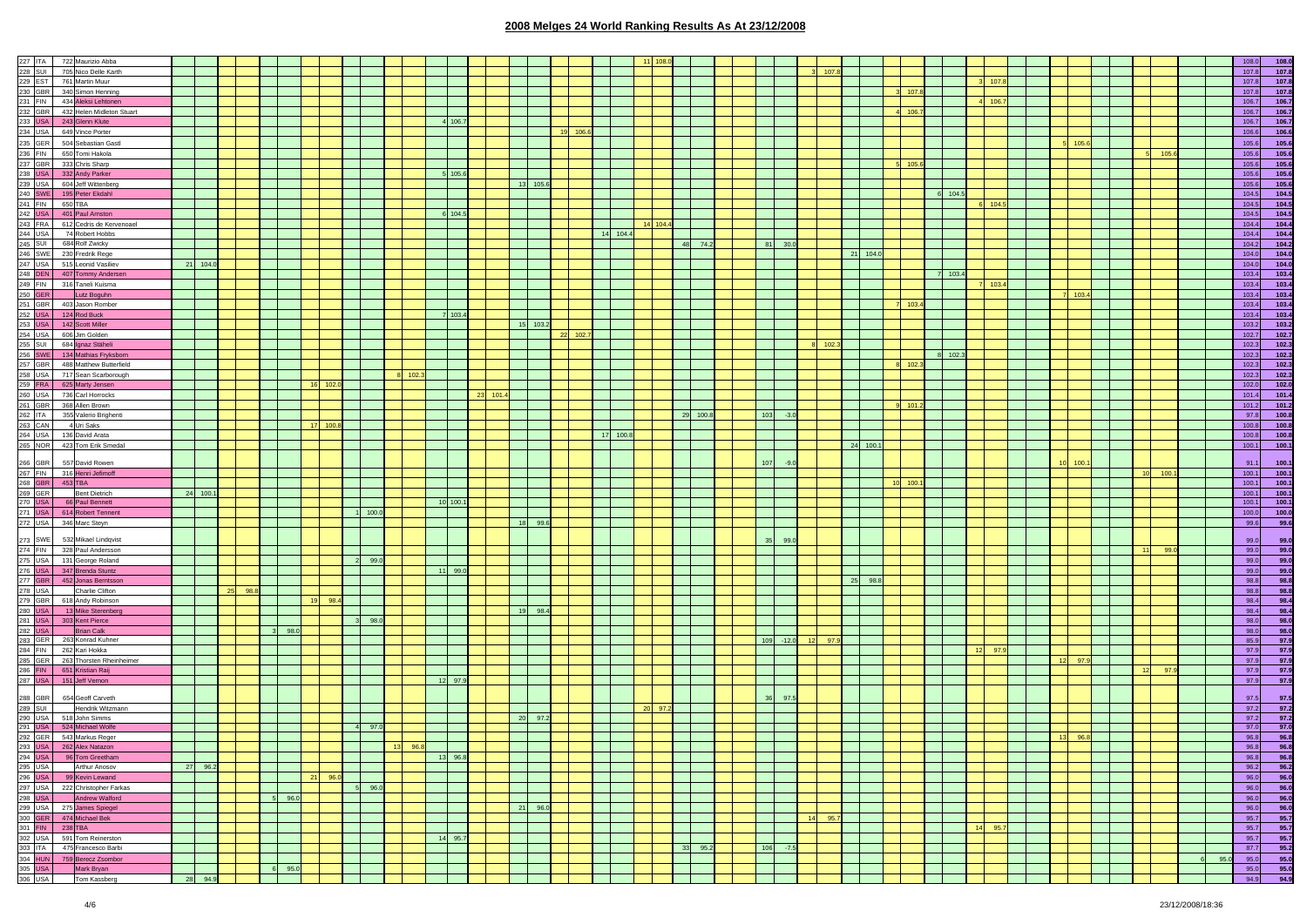|                 | 227 ITA 722 Maurizio Abba                           |          |    |      |                                                                                                                                |                 |      |                   |                  |          |                                                                                                                      |          |            |          |          |          |                 |      |              |        |            |          |           |         |         |       |         |       |                 |       |      |                   | 108.0                |
|-----------------|-----------------------------------------------------|----------|----|------|--------------------------------------------------------------------------------------------------------------------------------|-----------------|------|-------------------|------------------|----------|----------------------------------------------------------------------------------------------------------------------|----------|------------|----------|----------|----------|-----------------|------|--------------|--------|------------|----------|-----------|---------|---------|-------|---------|-------|-----------------|-------|------|-------------------|----------------------|
|                 |                                                     |          |    |      |                                                                                                                                |                 |      |                   |                  |          |                                                                                                                      |          |            |          |          |          |                 |      |              |        |            |          |           |         |         |       |         |       |                 |       |      |                   |                      |
|                 | 228 SUI 705 Nico Delle Karth                        |          |    |      |                                                                                                                                |                 |      |                   |                  |          |                                                                                                                      |          |            |          |          |          |                 |      |              |        |            |          |           |         |         |       |         |       |                 |       |      | 107.8             | 107.8                |
|                 | 229 EST 761 Martin Muur                             |          |    |      |                                                                                                                                |                 |      |                   |                  |          |                                                                                                                      |          |            |          |          |          |                 |      |              |        |            |          |           |         |         | 107   |         |       |                 |       |      | 107.8             | 107.8                |
|                 | 230 GBR 340 Simon Henning                           |          |    |      |                                                                                                                                |                 |      |                   |                  |          |                                                                                                                      |          |            |          |          |          |                 |      |              |        |            |          | 107.      |         |         |       |         |       |                 |       |      | 107.8             | 107.8                |
|                 | 231 FIN 434 Aleksi Lehtonen                         |          |    |      |                                                                                                                                |                 |      |                   |                  |          |                                                                                                                      |          |            |          |          |          |                 |      |              |        |            |          |           |         |         | 106.7 |         |       |                 |       |      | 106.7             | 106.7                |
|                 | 232 GBR 432 Helen Midleton Stuart                   |          |    |      |                                                                                                                                |                 |      |                   |                  |          |                                                                                                                      |          |            |          |          |          |                 |      |              |        |            |          | 106.7     |         |         |       |         |       |                 |       |      | 106.7             |                      |
|                 |                                                     |          |    |      |                                                                                                                                |                 |      |                   |                  |          |                                                                                                                      |          |            |          |          |          |                 |      |              |        |            |          |           |         |         |       |         |       |                 |       |      |                   | 106.7                |
|                 | 233 USA 243 Glenn Klute                             |          |    |      |                                                                                                                                |                 |      |                   |                  |          | 106.7                                                                                                                |          |            |          |          |          |                 |      |              |        |            |          |           |         |         |       |         |       |                 |       |      | 106.7             | 106.7                |
|                 | 234 USA 649 Vince Porter                            |          |    |      |                                                                                                                                |                 |      |                   |                  |          |                                                                                                                      |          |            | 19 106.  |          |          |                 |      |              |        |            |          |           |         |         |       |         |       |                 |       |      | 106.6             | 106.6                |
|                 | 235 GER 504 Sebastian Gastl                         |          |    |      |                                                                                                                                |                 |      |                   |                  |          |                                                                                                                      |          |            |          |          |          |                 |      |              |        |            |          |           |         |         |       |         | 105.6 |                 |       |      | 105.6             | 105.6                |
|                 | 236 FIN 650 Tomi Hakola                             |          |    |      |                                                                                                                                |                 |      |                   |                  |          |                                                                                                                      |          |            |          |          |          |                 |      |              |        |            |          |           |         |         |       |         |       |                 | 105.6 |      | 105.6             | 105.6                |
|                 |                                                     |          |    |      |                                                                                                                                |                 |      |                   |                  |          |                                                                                                                      |          |            |          |          |          |                 |      |              |        |            |          |           |         |         |       |         |       |                 |       |      |                   |                      |
|                 | 237 GBR 333 Chris Sharp                             |          |    |      |                                                                                                                                |                 |      |                   |                  |          |                                                                                                                      |          |            |          |          |          |                 |      |              |        |            |          | 105.6     |         |         |       |         |       |                 |       |      | 105.6             | 105.6                |
|                 | 238 USA 332 Andy Parker                             |          |    |      |                                                                                                                                |                 |      |                   |                  | 5 105    |                                                                                                                      |          |            |          |          |          |                 |      |              |        |            |          |           |         |         |       |         |       |                 |       |      | 105.6             | 105.6                |
|                 | 239 USA 604 Jeff Wittenberg                         |          |    |      |                                                                                                                                |                 |      |                   |                  |          |                                                                                                                      |          | 13 105.6   |          |          |          |                 |      |              |        |            |          |           |         |         |       |         |       |                 |       |      | 105.6             | 105.6                |
|                 | 240 SWE 195 Peter Ekdahl                            |          |    |      |                                                                                                                                |                 |      |                   |                  |          |                                                                                                                      |          |            |          |          |          |                 |      |              |        |            |          |           | 104.5   |         |       |         |       |                 |       |      | 104.5             | 104.5                |
| 241 FIN 650 TBA |                                                     |          |    |      |                                                                                                                                |                 |      |                   |                  |          |                                                                                                                      |          |            |          |          |          |                 |      |              |        |            |          |           |         |         | 104.5 |         |       |                 |       |      | 104.5             | 104.5                |
|                 |                                                     |          |    |      |                                                                                                                                |                 |      |                   |                  |          |                                                                                                                      |          |            |          |          |          |                 |      |              |        |            |          |           |         |         |       |         |       |                 |       |      |                   |                      |
|                 | 242 USA 401 Paul Amston                             |          |    |      |                                                                                                                                |                 |      |                   |                  | 6 104.5  |                                                                                                                      |          |            |          |          |          |                 |      |              |        |            |          |           |         |         |       |         |       |                 |       |      | 104.5             | 104.5                |
|                 | 243 FRA 612 Cedris de Kervenoael                    |          |    |      |                                                                                                                                |                 |      |                   |                  |          |                                                                                                                      |          |            |          |          | 14 104.4 |                 |      |              |        |            |          |           |         |         |       |         |       |                 |       |      | 104.4             | 104.4                |
| 244 USA         | 74 Robert Hobbs                                     |          |    |      |                                                                                                                                |                 |      |                   |                  |          |                                                                                                                      |          |            |          | 14 104.4 |          |                 |      |              |        |            |          |           |         |         |       |         |       |                 |       |      | 104.4             | 104.4                |
|                 | 245 SUI 684 Rolf Zwicky                             |          |    |      |                                                                                                                                |                 |      |                   |                  |          |                                                                                                                      |          |            |          |          |          | 48              | 74.2 | 81 30.0      |        |            |          |           |         |         |       |         |       |                 |       |      | 104.2             | 104.2                |
|                 |                                                     |          |    |      |                                                                                                                                |                 |      |                   |                  |          |                                                                                                                      |          |            |          |          |          |                 |      |              |        |            |          |           |         |         |       |         |       |                 |       |      |                   |                      |
|                 | 246 SWE 230 Fredrik Rege                            |          |    |      |                                                                                                                                |                 |      |                   |                  |          |                                                                                                                      |          |            |          |          |          |                 |      |              |        |            | 21 104.0 |           |         |         |       |         |       |                 |       |      | 104.0             | 104.0                |
|                 | 247 USA 515 Leonid Vasiliev                         | 21 104.0 |    |      |                                                                                                                                |                 |      |                   |                  |          |                                                                                                                      |          |            |          |          |          |                 |      |              |        |            |          |           |         |         |       |         |       |                 |       |      | 104.0             | 104.0                |
|                 | 248 DEN 407 Tommy Andersen                          |          |    |      |                                                                                                                                |                 |      |                   |                  |          |                                                                                                                      |          |            |          |          |          |                 |      |              |        |            |          |           | 103.4   |         |       |         |       |                 |       |      | 103.4             | 103.4                |
|                 | 249 FIN 316 Taneli Kuisma                           |          |    |      |                                                                                                                                |                 |      |                   |                  |          |                                                                                                                      |          |            |          |          |          |                 |      |              |        |            |          |           |         |         | 103.  |         |       |                 |       |      | 103.4             | 103.4                |
| 250 GER         | Lutz Boguhn                                         |          |    |      |                                                                                                                                |                 |      |                   |                  |          |                                                                                                                      |          |            |          |          |          |                 |      |              |        |            |          |           |         |         |       |         | 103.  |                 |       |      | 103.4             | 103.4                |
|                 |                                                     |          |    |      |                                                                                                                                |                 |      |                   |                  |          |                                                                                                                      |          |            |          |          |          |                 |      |              |        |            |          |           |         |         |       |         |       |                 |       |      |                   |                      |
|                 | 251 GBR 403 Jason Romber                            |          |    |      |                                                                                                                                |                 |      |                   |                  |          |                                                                                                                      |          |            |          |          |          |                 |      |              |        |            |          | $7 - 103$ |         |         |       |         |       |                 |       |      | 103.4             | 103.4                |
|                 | 252 USA 124 Rod Buck                                |          |    |      |                                                                                                                                |                 |      |                   |                  | 7 103.4  |                                                                                                                      |          |            |          |          |          |                 |      |              |        |            |          |           |         |         |       |         |       |                 |       |      | 103.4             | 103.4                |
|                 | 253 USA 142 Scott Miller                            |          |    |      |                                                                                                                                |                 |      |                   |                  |          |                                                                                                                      |          | 15 103.2   |          |          |          |                 |      |              |        |            |          |           |         |         |       |         |       |                 |       |      | 103.2             | 103.2                |
|                 | 254 USA 606 Jim Golden                              |          |    |      |                                                                                                                                |                 |      |                   |                  |          |                                                                                                                      |          |            | 22 102.7 |          |          |                 |      |              |        |            |          |           |         |         |       |         |       |                 |       |      | 102.7             | 102.7                |
|                 | 255 SUI 684 gnaz Stäheli                            |          |    |      |                                                                                                                                |                 |      |                   |                  |          |                                                                                                                      |          |            |          |          |          |                 |      |              |        |            |          |           |         |         |       |         |       |                 |       |      | 102.3             | 102.3                |
|                 |                                                     |          |    |      |                                                                                                                                |                 |      |                   |                  |          |                                                                                                                      |          |            |          |          |          |                 |      |              |        | 102.       |          |           |         |         |       |         |       |                 |       |      |                   |                      |
| 256 SWE         | 134 Mathias Fryksborn                               |          |    |      |                                                                                                                                |                 |      |                   |                  |          |                                                                                                                      |          |            |          |          |          |                 |      |              |        |            |          |           | 8 102.3 |         |       |         |       |                 |       |      | 102.3             | 102.3                |
|                 | 257 GBR 488 Matthew Butterfield                     |          |    |      |                                                                                                                                |                 |      |                   |                  |          |                                                                                                                      |          |            |          |          |          |                 |      |              |        |            |          | 102.      |         |         |       |         |       |                 |       |      | 102.3             | 102.3                |
|                 | 258 USA 717 Sean Scarborough                        |          |    |      |                                                                                                                                |                 |      |                   | 8 102            |          |                                                                                                                      |          |            |          |          |          |                 |      |              |        |            |          |           |         |         |       |         |       |                 |       |      | 102.3             | 102.3                |
|                 | 259 FRA 625 Marty Jensen                            |          |    |      |                                                                                                                                | 16 102.0        |      |                   |                  |          |                                                                                                                      |          |            |          |          |          |                 |      |              |        |            |          |           |         |         |       |         |       |                 |       |      | 102.0             | 102.0                |
|                 | 260 USA 736 Carl Horrocks                           |          |    |      |                                                                                                                                |                 |      |                   |                  |          |                                                                                                                      | 23 101.4 |            |          |          |          |                 |      |              |        |            |          |           |         |         |       |         |       |                 |       |      | 101.4             |                      |
|                 |                                                     |          |    |      |                                                                                                                                |                 |      |                   |                  |          |                                                                                                                      |          |            |          |          |          |                 |      |              |        |            |          |           |         |         |       |         |       |                 |       |      |                   | 101.4                |
|                 | 261 GBR 368 Allen Brown                             |          |    |      |                                                                                                                                |                 |      |                   |                  |          |                                                                                                                      |          |            |          |          |          |                 |      |              |        |            |          | 101.      |         |         |       |         |       |                 |       |      | 101.2             | 101.2                |
|                 | 262 ITA 355 Valerio Brighenti                       |          |    |      |                                                                                                                                |                 |      |                   |                  |          |                                                                                                                      |          |            |          |          |          | 29 100.8        |      | 103          | $-3.0$ |            |          |           |         |         |       |         |       |                 |       |      | 97.8              | 100.8                |
| 263 CAN         | 4 Uri Saks                                          |          |    |      |                                                                                                                                | 17 100.8        |      |                   |                  |          |                                                                                                                      |          |            |          |          |          |                 |      |              |        |            |          |           |         |         |       |         |       |                 |       |      | 100.8             | 100.8                |
|                 | 264 USA 136 David Arata                             |          |    |      |                                                                                                                                |                 |      |                   |                  |          |                                                                                                                      |          |            |          | 17 100.8 |          |                 |      |              |        |            |          |           |         |         |       |         |       |                 |       |      | 100.8             | 100.8                |
|                 | 265 NOR 423 Tom Erik Smedal                         |          |    |      |                                                                                                                                |                 |      |                   |                  |          |                                                                                                                      |          |            |          |          |          |                 |      |              |        |            | 24 100.1 |           |         |         |       |         |       |                 |       |      | 100.1             |                      |
|                 |                                                     |          |    |      |                                                                                                                                |                 |      |                   |                  |          |                                                                                                                      |          |            |          |          |          |                 |      |              |        |            |          |           |         |         |       |         |       |                 |       |      |                   | 100.1                |
| 266 GBR         | 557 David Rowen                                     |          |    |      |                                                                                                                                |                 |      |                   |                  |          |                                                                                                                      |          |            |          |          |          |                 |      |              | $-9$   |            |          |           |         |         |       |         | 100.1 |                 |       |      |                   |                      |
|                 |                                                     |          |    |      |                                                                                                                                |                 |      |                   |                  |          |                                                                                                                      |          |            |          |          |          |                 |      | 107          |        |            |          |           |         |         |       |         |       |                 |       |      | 91.1              | 100.1                |
|                 | 267 FIN 316 Henri Jefimoff                          |          |    |      |                                                                                                                                |                 |      |                   |                  |          |                                                                                                                      |          |            |          |          |          |                 |      |              |        |            |          |           |         |         |       |         |       | 10 <sup>1</sup> | 100.  |      | 100.1             | 100.1                |
| 268 GBR 453 TBA |                                                     |          |    |      |                                                                                                                                |                 |      |                   |                  |          |                                                                                                                      |          |            |          |          |          |                 |      |              |        |            |          | 100.      |         |         |       |         |       |                 |       |      | 100.1             | 100.1                |
| 269 GER         | Bent Dietrich                                       | 24 100.  |    |      |                                                                                                                                |                 |      |                   |                  |          |                                                                                                                      |          |            |          |          |          |                 |      |              |        |            |          |           |         |         |       |         |       |                 |       |      | 100.1             | 100.1                |
|                 | 270 USA 66 Paul Bennett                             |          |    |      |                                                                                                                                |                 |      |                   |                  | 10 100.1 |                                                                                                                      |          |            |          |          |          |                 |      |              |        |            |          |           |         |         |       |         |       |                 |       |      | 100.1             | 100.1                |
|                 |                                                     |          |    |      |                                                                                                                                |                 |      | 100.0             |                  |          |                                                                                                                      |          |            |          |          |          |                 |      |              |        |            |          |           |         |         |       |         |       |                 |       |      | 100.0             | 100.0                |
|                 |                                                     |          |    |      |                                                                                                                                |                 |      |                   |                  |          |                                                                                                                      |          |            |          |          |          |                 |      |              |        |            |          |           |         |         |       |         |       |                 |       |      |                   |                      |
|                 | 271 USA 614 Robert Tennent                          |          |    |      |                                                                                                                                |                 |      |                   |                  |          |                                                                                                                      |          |            |          |          |          |                 |      |              |        |            |          |           |         |         |       |         |       |                 |       |      | 99.6              | 99.6                 |
|                 | 272 USA 346 Marc Steyn                              |          |    |      |                                                                                                                                |                 |      |                   |                  |          |                                                                                                                      |          | 99.6<br>18 |          |          |          |                 |      |              |        |            |          |           |         |         |       |         |       |                 |       |      |                   |                      |
|                 |                                                     |          |    |      |                                                                                                                                |                 |      |                   |                  |          |                                                                                                                      |          |            |          |          |          |                 |      |              |        |            |          |           |         |         |       |         |       |                 |       |      |                   |                      |
| 273 SWE         | 532 Mikael Lindqvist                                |          |    |      |                                                                                                                                |                 |      |                   |                  |          |                                                                                                                      |          |            |          |          |          |                 |      |              | 99.    |            |          |           |         |         |       |         |       |                 |       |      |                   | 99.0                 |
|                 |                                                     |          |    |      |                                                                                                                                |                 |      |                   |                  |          |                                                                                                                      |          |            |          |          |          |                 |      |              |        |            |          |           |         |         |       |         |       | 11              | 99    |      | 99.0              |                      |
|                 | 274 FIN 328 Paul Andersson                          |          |    |      |                                                                                                                                |                 |      |                   |                  |          |                                                                                                                      |          |            |          |          |          |                 |      |              |        |            |          |           |         |         |       |         |       |                 |       |      |                   | 99.0                 |
|                 | 275 USA 131 George Roland                           |          |    |      |                                                                                                                                |                 |      | 99.0              |                  |          |                                                                                                                      |          |            |          |          |          |                 |      |              |        |            |          |           |         |         |       |         |       |                 |       |      | 99.0              | 99.0                 |
|                 | 276 USA 347 Brenda Stuntz                           |          |    |      |                                                                                                                                |                 |      |                   |                  | 11 99.0  |                                                                                                                      |          |            |          |          |          |                 |      |              |        |            |          |           |         |         |       |         |       |                 |       |      | 99.0              | 99.0                 |
| 277 GBR         | 452 Jonas Berntsson                                 |          |    |      |                                                                                                                                |                 |      |                   |                  |          |                                                                                                                      |          |            |          |          |          |                 |      |              |        |            | 25 98.8  |           |         |         |       |         |       |                 |       |      | 98.8              | 98.8                 |
| 278 USA         | Charlie Clifton                                     |          | 25 | 98.8 |                                                                                                                                |                 |      |                   |                  |          |                                                                                                                      |          |            |          |          |          |                 |      |              |        |            |          |           |         |         |       |         |       |                 |       |      | 98.8              |                      |
|                 | 279 GBR 618 Andy Robinson                           |          |    |      |                                                                                                                                | 19              | 98.4 |                   |                  |          |                                                                                                                      |          |            |          |          |          |                 |      |              |        |            |          |           |         |         |       |         |       |                 |       |      | 98.4              | 98.8<br>98.4         |
|                 | 280 USA 13 Mike Sterenberg                          |          |    |      |                                                                                                                                |                 |      |                   |                  |          |                                                                                                                      |          | 19 98.4    |          |          |          |                 |      |              |        |            |          |           |         |         |       |         |       |                 |       |      | 98.4              | 98.4                 |
|                 |                                                     |          |    |      |                                                                                                                                |                 |      | 98.0              |                  |          |                                                                                                                      |          |            |          |          |          |                 |      |              |        |            |          |           |         |         |       |         |       |                 |       |      |                   |                      |
|                 | 281 USA 303 Kent Pierce                             |          |    |      |                                                                                                                                |                 |      |                   |                  |          |                                                                                                                      |          |            |          |          |          |                 |      |              |        |            |          |           |         |         |       |         |       |                 |       |      | 98.0              | 98.0                 |
| 282 USA         | <b>Brian Calk</b>                                   |          |    |      | 3 98.0                                                                                                                         |                 |      |                   |                  |          |                                                                                                                      |          |            |          |          |          |                 |      |              |        |            |          |           |         |         |       |         |       |                 |       |      | 98.0              | 98.0                 |
|                 | 283 GER 263 Konrad Kuhner                           |          |    |      |                                                                                                                                |                 |      |                   |                  |          |                                                                                                                      |          |            |          |          |          |                 |      | $109 - 12.0$ |        | 12 97.9    |          |           |         |         |       |         |       |                 |       |      | 85.9              | 97.9                 |
|                 | 284 FIN 262 Kari Hokka                              |          |    |      |                                                                                                                                |                 |      |                   |                  |          |                                                                                                                      |          |            |          |          |          |                 |      |              |        |            |          |           |         |         | 97.9  |         |       |                 |       |      | 97.9              | 97.9                 |
|                 | 285 GER 263 Thorsten Rheinheimer                    |          |    |      |                                                                                                                                |                 |      |                   |                  |          |                                                                                                                      |          |            |          |          |          |                 |      |              |        |            |          |           |         |         |       | 12      | 97.9  |                 |       |      | 97.9              | 97.9                 |
|                 | 286 FIN 651 Kristian Raij                           |          |    |      |                                                                                                                                |                 |      |                   |                  |          |                                                                                                                      |          |            |          |          |          |                 |      |              |        |            |          |           |         |         |       |         |       | 12              | 97    |      | 97.9              | 97.9                 |
|                 | 287 USA 151 Jeff Vernon                             |          |    |      |                                                                                                                                |                 |      |                   |                  | 12 97.9  |                                                                                                                      |          |            |          |          |          |                 |      |              |        |            |          |           |         |         |       |         |       |                 |       |      | 97.9              |                      |
|                 |                                                     |          |    |      |                                                                                                                                |                 |      |                   |                  |          |                                                                                                                      |          |            |          |          |          |                 |      |              |        |            |          |           |         |         |       |         |       |                 |       |      |                   | 97.9                 |
|                 |                                                     |          |    |      |                                                                                                                                |                 |      |                   |                  |          |                                                                                                                      |          |            |          |          |          |                 |      |              |        |            |          |           |         |         |       |         |       |                 |       |      | 97.5              |                      |
| 288 GBR         | 654 Geoff Carveth                                   |          |    |      |                                                                                                                                |                 |      |                   |                  |          |                                                                                                                      |          |            |          |          |          |                 |      |              | 97.5   |            |          |           |         |         |       |         |       |                 |       |      |                   | 97.5                 |
| 289 SUI         | Hendrik Witzmann                                    |          |    |      |                                                                                                                                |                 |      |                   |                  |          |                                                                                                                      |          |            |          |          | 20 97    |                 |      |              |        |            |          |           |         |         |       |         |       |                 |       |      | 97.2              | 97.2                 |
|                 | 290 USA 518 John Simms                              |          |    |      |                                                                                                                                |                 |      |                   |                  |          |                                                                                                                      |          | 20<br>97.2 |          |          |          |                 |      |              |        |            |          |           |         |         |       |         |       |                 |       |      | 97.2              | 97.2                 |
|                 | 291 USA 524 Michael Wolfe                           |          |    |      |                                                                                                                                |                 |      | 4 97.0            |                  |          |                                                                                                                      |          |            |          |          |          |                 |      |              |        |            |          |           |         |         |       |         |       |                 |       |      | 97.0              | 97.0                 |
|                 | 292 GER 543 Markus Reger                            |          |    |      |                                                                                                                                |                 |      |                   |                  |          |                                                                                                                      |          |            |          |          |          |                 |      |              |        |            |          |           |         |         |       | 13 96.8 |       |                 |       |      | 96.8              | 96.8                 |
|                 | 293 USA 262 Alex Natazon                            |          |    |      |                                                                                                                                | <b>Contract</b> |      |                   | <b>1</b> 13 96.8 |          | <u> Tanzania de la contrada de la contrada de la contrada de la contrada de la contrada de la contrada de la con</u> |          |            |          |          |          | <b>Contract</b> |      |              |        |            |          |           |         |         |       |         |       |                 |       |      | 96.8              | 96.8                 |
|                 |                                                     |          |    |      |                                                                                                                                |                 |      |                   |                  |          |                                                                                                                      |          |            |          |          |          |                 |      |              |        |            |          |           |         |         |       |         |       |                 |       |      |                   |                      |
| 294 USA         | 96 Tom Greetham                                     |          |    |      |                                                                                                                                |                 |      |                   |                  | 13 96.8  |                                                                                                                      |          |            |          |          |          |                 |      |              |        |            |          |           |         |         |       |         |       |                 |       |      | 96.8              | 96.8                 |
| 295 USA         | Arthur Anosov                                       | 27 96.2  |    |      |                                                                                                                                |                 |      |                   |                  |          |                                                                                                                      |          |            |          |          |          |                 |      |              |        |            |          |           |         |         |       |         |       |                 |       |      | 96.2              | 96.2                 |
|                 | 296 USA 99 Kevin Lewand                             |          |    |      |                                                                                                                                | 21 96.0         |      |                   |                  |          |                                                                                                                      |          |            |          |          |          |                 |      |              |        |            |          |           |         |         |       |         |       |                 |       |      | 96.0              | 96.0                 |
|                 | 297 USA 222 Christopher Farkas                      |          |    |      |                                                                                                                                |                 |      | 5 96.0            |                  |          |                                                                                                                      |          |            |          |          |          |                 |      |              |        |            |          |           |         |         |       |         |       |                 |       |      | 96.0              | 96.0                 |
|                 |                                                     |          |    |      | $5 - 96.0$                                                                                                                     |                 |      |                   |                  |          |                                                                                                                      |          |            |          |          |          |                 |      |              |        |            |          |           |         |         |       |         |       |                 |       |      |                   |                      |
|                 |                                                     |          |    |      |                                                                                                                                |                 |      |                   |                  |          |                                                                                                                      |          |            |          |          |          |                 |      |              |        |            |          |           |         |         |       |         |       |                 |       |      | 96.0              | 96.0                 |
|                 | 298 USA Andrew Walford<br>299 USA 275 James Spiegel |          |    |      |                                                                                                                                |                 |      |                   |                  |          |                                                                                                                      |          | 21 96.0    |          |          |          |                 |      |              |        |            |          |           |         |         |       |         |       |                 |       |      | 96.0              | 96.0                 |
|                 | 300 GER 474 Michael Bek                             |          |    |      |                                                                                                                                |                 |      |                   |                  |          |                                                                                                                      |          |            |          |          |          |                 |      |              |        | 14<br>95.7 |          |           |         |         |       |         |       |                 |       |      | 95.7              | 95.7                 |
|                 | 301 FIN 238 TBA                                     |          |    |      |                                                                                                                                |                 |      |                   |                  |          |                                                                                                                      |          |            |          |          |          |                 |      |              |        |            |          |           |         | 14 95.7 |       |         |       |                 |       |      | 95.7              | 95.7                 |
|                 | 302 USA 591 Tom Reinerston                          |          |    |      |                                                                                                                                |                 |      |                   |                  | 14 95.7  |                                                                                                                      |          |            |          |          |          |                 |      |              |        |            |          |           |         |         |       |         |       |                 |       |      | 95.7              | 95.7                 |
|                 |                                                     |          |    |      |                                                                                                                                |                 |      |                   |                  |          |                                                                                                                      |          |            |          |          |          | 33              | 95.2 | $106 - 7.5$  |        |            |          |           |         |         |       |         |       |                 |       |      | 87.7              |                      |
|                 | 303 ITA 475 Francesco Barbi                         |          |    |      |                                                                                                                                |                 |      |                   |                  |          |                                                                                                                      |          |            |          |          |          |                 |      |              |        |            |          |           |         |         |       |         |       |                 |       |      |                   |                      |
|                 | 304 HUN 759 Berecz Zsombor                          |          |    |      |                                                                                                                                |                 |      |                   |                  |          |                                                                                                                      |          |            |          |          |          |                 |      |              |        |            |          |           |         |         |       |         |       |                 |       | 95.0 | 95.0              |                      |
| 305 USA         | Mark Bryan<br>306 USA Tom Kasshern                  | 28 94.9  |    |      | 6 95.0<br><u> Timber de la propincia de la propincia de la propincia de la propincia de la propincia de la propincia de la</u> |                 |      | <b>The Common</b> |                  |          |                                                                                                                      |          |            |          |          |          |                 |      |              |        |            |          |           |         |         |       |         |       |                 |       |      | 95.0<br>94.9 94.9 | 95.2<br>95.0<br>95.0 |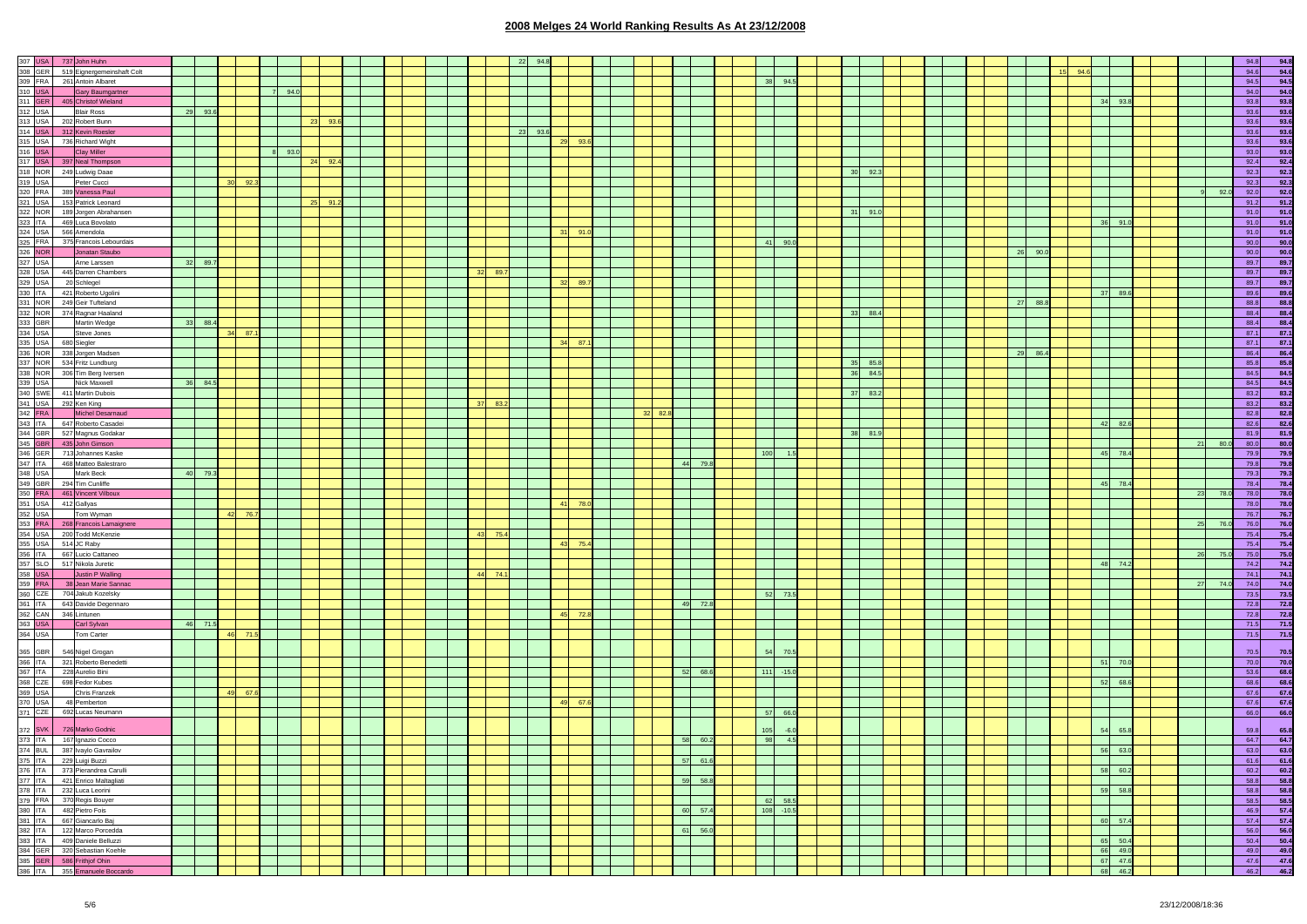|  | 519 Eignergemeinshaft Colt                                                                                                                                                                                                                    |    |         |         |     |      |    |         |  |  |    |      |         |    |      |         |
|--|-----------------------------------------------------------------------------------------------------------------------------------------------------------------------------------------------------------------------------------------------|----|---------|---------|-----|------|----|---------|--|--|----|------|---------|----|------|---------|
|  |                                                                                                                                                                                                                                               |    |         |         |     |      |    |         |  |  |    |      |         |    |      |         |
|  |                                                                                                                                                                                                                                               |    |         |         |     |      |    |         |  |  |    |      |         |    |      |         |
|  |                                                                                                                                                                                                                                               |    |         |         |     | 94.0 |    |         |  |  |    |      |         |    |      |         |
|  |                                                                                                                                                                                                                                               |    |         |         |     |      |    |         |  |  |    |      |         |    |      |         |
|  |                                                                                                                                                                                                                                               |    |         |         |     |      |    |         |  |  |    |      |         |    |      |         |
|  |                                                                                                                                                                                                                                               | 29 | 93.6    |         |     |      |    |         |  |  |    |      |         |    |      |         |
|  |                                                                                                                                                                                                                                               |    |         |         |     |      |    | 93.     |  |  |    |      |         |    |      |         |
|  |                                                                                                                                                                                                                                               |    |         |         |     |      |    |         |  |  |    |      |         |    |      |         |
|  |                                                                                                                                                                                                                                               |    |         |         |     |      |    |         |  |  |    |      | 23 93.6 |    |      |         |
|  |                                                                                                                                                                                                                                               |    |         |         |     |      |    |         |  |  |    |      |         | 29 |      |         |
|  |                                                                                                                                                                                                                                               |    |         |         |     |      |    |         |  |  |    |      |         |    | 93.6 |         |
|  |                                                                                                                                                                                                                                               |    |         |         |     | 93.0 |    |         |  |  |    |      |         |    |      |         |
|  |                                                                                                                                                                                                                                               |    |         |         |     |      |    |         |  |  |    |      |         |    |      |         |
|  |                                                                                                                                                                                                                                               |    |         |         |     |      | 24 | 92.4    |  |  |    |      |         |    |      |         |
|  |                                                                                                                                                                                                                                               |    |         |         |     |      |    |         |  |  |    |      |         |    |      |         |
|  |                                                                                                                                                                                                                                               |    |         |         |     |      |    |         |  |  |    |      |         |    |      |         |
|  |                                                                                                                                                                                                                                               |    |         | 30 92.3 |     |      |    |         |  |  |    |      |         |    |      |         |
|  |                                                                                                                                                                                                                                               |    |         |         |     |      |    |         |  |  |    |      |         |    |      |         |
|  |                                                                                                                                                                                                                                               |    |         |         |     |      |    |         |  |  |    |      |         |    |      |         |
|  |                                                                                                                                                                                                                                               |    |         |         |     |      |    | 25 91.2 |  |  |    |      |         |    |      |         |
|  |                                                                                                                                                                                                                                               |    |         |         |     |      |    |         |  |  |    |      |         |    |      |         |
|  |                                                                                                                                                                                                                                               |    |         |         |     |      |    |         |  |  |    |      |         |    |      |         |
|  |                                                                                                                                                                                                                                               |    |         |         |     |      |    |         |  |  |    |      |         |    |      |         |
|  |                                                                                                                                                                                                                                               |    |         |         |     |      |    |         |  |  |    |      |         |    | 91   |         |
|  |                                                                                                                                                                                                                                               |    |         |         |     |      |    |         |  |  |    |      |         |    |      |         |
|  |                                                                                                                                                                                                                                               |    |         |         |     |      |    |         |  |  |    |      |         |    |      |         |
|  |                                                                                                                                                                                                                                               |    |         |         |     |      |    |         |  |  |    |      |         |    |      |         |
|  |                                                                                                                                                                                                                                               |    |         |         |     |      |    |         |  |  |    |      |         |    |      |         |
|  |                                                                                                                                                                                                                                               |    | 32 89.7 |         |     |      |    |         |  |  |    |      |         |    |      |         |
|  |                                                                                                                                                                                                                                               |    |         |         |     |      |    |         |  |  |    | 89.7 |         |    |      |         |
|  |                                                                                                                                                                                                                                               |    |         |         |     |      |    |         |  |  |    |      |         |    |      |         |
|  |                                                                                                                                                                                                                                               |    |         |         |     |      |    |         |  |  |    |      |         | 32 | 89.7 |         |
|  |                                                                                                                                                                                                                                               |    |         |         |     |      |    |         |  |  |    |      |         |    |      |         |
|  |                                                                                                                                                                                                                                               |    |         |         |     |      |    |         |  |  |    |      |         |    |      |         |
|  |                                                                                                                                                                                                                                               |    |         |         |     |      |    |         |  |  |    |      |         |    |      |         |
|  |                                                                                                                                                                                                                                               |    |         |         |     |      |    |         |  |  |    |      |         |    |      |         |
|  |                                                                                                                                                                                                                                               |    |         |         |     |      |    |         |  |  |    |      |         |    |      |         |
|  |                                                                                                                                                                                                                                               | 33 | 88.4    |         |     |      |    |         |  |  |    |      |         |    |      |         |
|  |                                                                                                                                                                                                                                               |    |         | 34 87.1 |     |      |    |         |  |  |    |      |         |    |      |         |
|  |                                                                                                                                                                                                                                               |    |         |         |     |      |    |         |  |  |    |      |         |    |      |         |
|  |                                                                                                                                                                                                                                               |    |         |         |     |      |    |         |  |  |    |      |         | 34 | 87.  |         |
|  |                                                                                                                                                                                                                                               |    |         |         |     |      |    |         |  |  |    |      |         |    |      |         |
|  |                                                                                                                                                                                                                                               |    |         |         |     |      |    |         |  |  |    |      |         |    |      |         |
|  |                                                                                                                                                                                                                                               |    |         |         |     |      |    |         |  |  |    |      |         |    |      |         |
|  |                                                                                                                                                                                                                                               |    |         |         |     |      |    |         |  |  |    |      |         |    |      |         |
|  |                                                                                                                                                                                                                                               |    |         |         |     |      |    |         |  |  |    |      |         |    |      |         |
|  |                                                                                                                                                                                                                                               |    | 36 84.5 |         |     |      |    |         |  |  |    |      |         |    |      |         |
|  |                                                                                                                                                                                                                                               |    |         |         |     |      |    |         |  |  |    |      |         |    |      |         |
|  |                                                                                                                                                                                                                                               |    |         |         |     |      |    |         |  |  |    |      |         |    |      |         |
|  |                                                                                                                                                                                                                                               |    |         |         |     |      |    |         |  |  |    | 83.2 |         |    |      |         |
|  |                                                                                                                                                                                                                                               |    |         |         |     |      |    |         |  |  |    |      |         |    |      |         |
|  |                                                                                                                                                                                                                                               |    |         |         |     |      |    |         |  |  |    |      |         |    |      | 32 82.8 |
|  |                                                                                                                                                                                                                                               |    |         |         |     |      |    |         |  |  |    |      |         |    |      |         |
|  |                                                                                                                                                                                                                                               |    |         |         |     |      |    |         |  |  |    |      |         |    |      |         |
|  |                                                                                                                                                                                                                                               |    |         |         |     |      |    |         |  |  |    |      |         |    |      |         |
|  |                                                                                                                                                                                                                                               |    |         |         |     |      |    |         |  |  |    |      |         |    |      |         |
|  |                                                                                                                                                                                                                                               |    |         |         |     |      |    |         |  |  |    |      |         |    |      |         |
|  |                                                                                                                                                                                                                                               |    |         |         |     |      |    |         |  |  |    |      |         |    |      |         |
|  |                                                                                                                                                                                                                                               |    |         |         |     |      |    |         |  |  |    |      |         |    |      |         |
|  |                                                                                                                                                                                                                                               |    |         |         |     |      |    |         |  |  |    |      |         |    |      |         |
|  |                                                                                                                                                                                                                                               | 40 | 79.3    |         |     |      |    |         |  |  |    |      |         |    |      |         |
|  |                                                                                                                                                                                                                                               |    |         |         |     |      |    |         |  |  |    |      |         |    |      |         |
|  |                                                                                                                                                                                                                                               |    |         |         |     |      |    |         |  |  |    |      |         |    |      |         |
|  |                                                                                                                                                                                                                                               |    |         |         |     |      |    |         |  |  |    |      |         |    |      |         |
|  |                                                                                                                                                                                                                                               |    |         |         |     |      |    |         |  |  |    |      |         | 41 | 78.0 |         |
|  |                                                                                                                                                                                                                                               |    |         |         |     |      |    |         |  |  |    |      |         |    |      |         |
|  |                                                                                                                                                                                                                                               |    |         | 42      | 76. |      |    |         |  |  |    |      |         |    |      |         |
|  |                                                                                                                                                                                                                                               |    |         |         |     |      |    |         |  |  |    |      |         |    |      |         |
|  |                                                                                                                                                                                                                                               |    |         |         |     |      |    |         |  |  |    |      |         |    |      |         |
|  |                                                                                                                                                                                                                                               |    |         |         |     |      |    |         |  |  | 43 | 75.4 |         |    |      |         |
|  |                                                                                                                                                                                                                                               |    |         |         |     |      |    |         |  |  |    |      |         |    |      |         |
|  |                                                                                                                                                                                                                                               |    |         |         |     |      |    |         |  |  |    |      |         | 43 | 75   |         |
|  |                                                                                                                                                                                                                                               |    |         |         |     |      |    |         |  |  |    |      |         |    |      |         |
|  |                                                                                                                                                                                                                                               |    |         |         |     |      |    |         |  |  |    |      |         |    |      |         |
|  | 307 USA 737 John Huhn<br>309 GRA 519 Ligin prominenshaft Col<br>309 GRA 519 Ligin prominenshaft Col<br>309 GRA 405 Christof Welard<br>312 USA 62 Star Ross<br>314 USA 405 Christof Welard<br>312 USA 202 Robert Bunn<br>316 USA 202 Robert B  |    |         |         |     |      |    |         |  |  |    |      |         |    |      |         |
|  |                                                                                                                                                                                                                                               |    |         |         |     |      |    |         |  |  | 44 | 74.1 |         |    |      |         |
|  |                                                                                                                                                                                                                                               |    |         |         |     |      |    |         |  |  |    |      |         |    |      |         |
|  |                                                                                                                                                                                                                                               |    |         |         |     |      |    |         |  |  |    |      |         |    |      |         |
|  |                                                                                                                                                                                                                                               |    |         |         |     |      |    |         |  |  |    |      |         |    |      |         |
|  |                                                                                                                                                                                                                                               |    |         |         |     |      |    |         |  |  |    |      |         |    |      |         |
|  |                                                                                                                                                                                                                                               |    |         |         |     |      |    |         |  |  |    |      |         |    |      |         |
|  |                                                                                                                                                                                                                                               |    |         |         |     |      |    |         |  |  |    |      |         | 45 | 72.8 |         |
|  |                                                                                                                                                                                                                                               | 46 | 71.5    |         |     |      |    |         |  |  |    |      |         |    |      |         |
|  |                                                                                                                                                                                                                                               |    |         |         |     |      |    |         |  |  |    |      |         |    |      |         |
|  |                                                                                                                                                                                                                                               |    |         | 46 71.5 |     |      |    |         |  |  |    |      |         |    |      |         |
|  |                                                                                                                                                                                                                                               |    |         |         |     |      |    |         |  |  |    |      |         |    |      |         |
|  |                                                                                                                                                                                                                                               |    |         |         |     |      |    |         |  |  |    |      |         |    |      |         |
|  |                                                                                                                                                                                                                                               |    |         |         |     |      |    |         |  |  |    |      |         |    |      |         |
|  |                                                                                                                                                                                                                                               |    |         |         |     |      |    |         |  |  |    |      |         |    |      |         |
|  |                                                                                                                                                                                                                                               |    |         |         |     |      |    |         |  |  |    |      |         |    |      |         |
|  |                                                                                                                                                                                                                                               |    |         |         |     |      |    |         |  |  |    |      |         |    |      |         |
|  |                                                                                                                                                                                                                                               |    |         |         |     |      |    |         |  |  |    |      |         |    |      |         |
|  |                                                                                                                                                                                                                                               |    |         |         |     |      |    |         |  |  |    |      |         |    |      |         |
|  |                                                                                                                                                                                                                                               |    |         | 49 67.6 |     |      |    |         |  |  |    |      |         |    |      |         |
|  |                                                                                                                                                                                                                                               |    |         |         |     |      |    |         |  |  |    |      |         |    |      |         |
|  |                                                                                                                                                                                                                                               |    |         |         |     |      |    |         |  |  |    |      |         |    |      |         |
|  |                                                                                                                                                                                                                                               |    |         |         |     |      |    |         |  |  |    |      |         | 49 | 67.6 |         |
|  |                                                                                                                                                                                                                                               |    |         |         |     |      |    |         |  |  |    |      |         |    |      |         |
|  |                                                                                                                                                                                                                                               |    |         |         |     |      |    |         |  |  |    |      |         |    |      |         |
|  |                                                                                                                                                                                                                                               |    |         |         |     |      |    |         |  |  |    |      |         |    |      |         |
|  |                                                                                                                                                                                                                                               |    |         |         |     |      |    |         |  |  |    |      |         |    |      |         |
|  |                                                                                                                                                                                                                                               |    |         |         |     |      |    |         |  |  |    |      |         |    |      |         |
|  |                                                                                                                                                                                                                                               |    |         |         |     |      |    |         |  |  |    |      |         |    |      |         |
|  |                                                                                                                                                                                                                                               |    |         |         |     |      |    |         |  |  |    |      |         |    |      |         |
|  | 366 GBR 546 Nigel Grogan<br>366 ITA 321 Roberto Benedetti<br>367 ITA 222 Autorio Bini<br>368 CZE 698 Fedor Kubes<br>369 USA 48 Pemberton<br>370 USA 48 Pemberton<br>371 CZE 692 Lucas Neumann<br>372 SVK 726 Marko Godnic<br>373 ITA 767 Igna |    |         |         |     |      |    |         |  |  |    |      |         |    |      |         |
|  |                                                                                                                                                                                                                                               |    |         |         |     |      |    |         |  |  |    |      |         |    |      |         |
|  |                                                                                                                                                                                                                                               |    |         |         |     |      |    |         |  |  |    |      |         |    |      |         |
|  | 374 BUL 387 Ivaylo Gavrallov<br>375 ITA 229 Luigi Buzzi<br>376 ITA 373 Pierandrea Carulli                                                                                                                                                     |    |         |         |     |      |    |         |  |  |    |      |         |    |      |         |
|  |                                                                                                                                                                                                                                               |    |         |         |     |      |    |         |  |  |    |      |         |    |      |         |
|  |                                                                                                                                                                                                                                               |    |         |         |     |      |    |         |  |  |    |      |         |    |      |         |
|  |                                                                                                                                                                                                                                               |    |         |         |     |      |    |         |  |  |    |      |         |    |      |         |
|  |                                                                                                                                                                                                                                               |    |         |         |     |      |    |         |  |  |    |      |         |    |      |         |
|  |                                                                                                                                                                                                                                               |    |         |         |     |      |    |         |  |  |    |      |         |    |      |         |
|  |                                                                                                                                                                                                                                               |    |         |         |     |      |    |         |  |  |    |      |         |    |      |         |
|  |                                                                                                                                                                                                                                               |    |         |         |     |      |    |         |  |  |    |      |         |    |      |         |
|  |                                                                                                                                                                                                                                               |    |         |         |     |      |    |         |  |  |    |      |         |    |      |         |
|  |                                                                                                                                                                                                                                               |    |         |         |     |      |    |         |  |  |    |      |         |    |      |         |
|  |                                                                                                                                                                                                                                               |    |         |         |     |      |    |         |  |  |    |      |         |    |      |         |
|  |                                                                                                                                                                                                                                               |    |         |         |     |      |    |         |  |  |    |      |         |    |      |         |
|  |                                                                                                                                                                                                                                               |    |         |         |     |      |    |         |  |  |    |      |         |    |      |         |
|  |                                                                                                                                                                                                                                               |    |         |         |     |      |    |         |  |  |    |      |         |    |      |         |
|  | 376   ITA 373 Pierandrea Carulli<br>378   ITA 221 Enrico Malaglai<br>378   ITA 222   Luca Leorini<br>390   ITA 370   Regioner<br>380   ITA 482 Pierto Fois<br>381   ITA 482   Piero Procedda<br>383   ITA 420   Daniele Belluzzi<br>384   GE  |    |         |         |     |      |    |         |  |  |    |      |         |    |      |         |